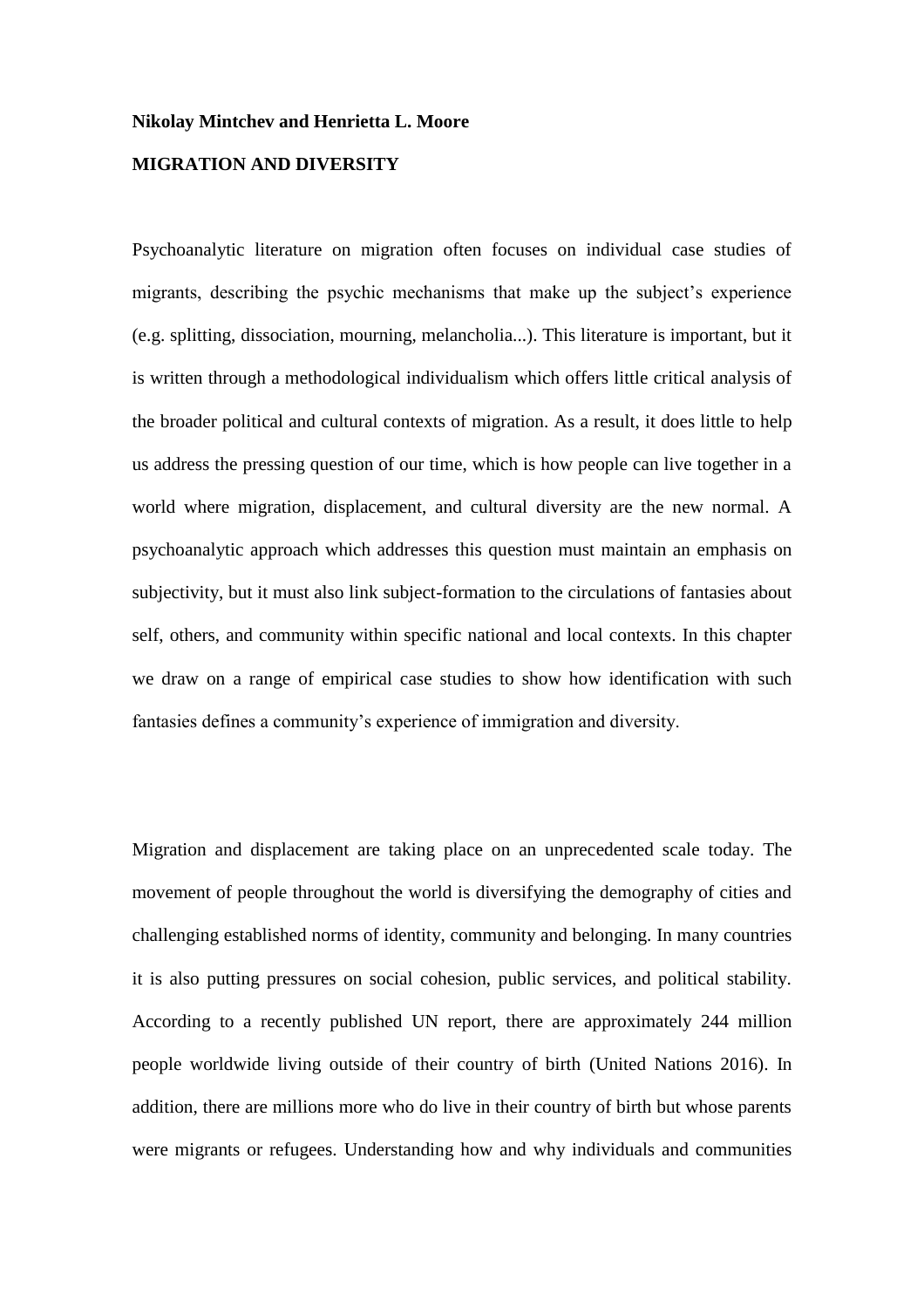# **Nikolay Mintchev and Henrietta L. Moore MIGRATION AND DIVERSITY**

Psychoanalytic literature on migration often focuses on individual case studies of migrants, describing the psychic mechanisms that make up the subject's experience (e.g. splitting, dissociation, mourning, melancholia...). This literature is important, but it is written through a methodological individualism which offers little critical analysis of the broader political and cultural contexts of migration. As a result, it does little to help us address the pressing question of our time, which is how people can live together in a world where migration, displacement, and cultural diversity are the new normal. A psychoanalytic approach which addresses this question must maintain an emphasis on subjectivity, but it must also link subject-formation to the circulations of fantasies about self, others, and community within specific national and local contexts. In this chapter we draw on a range of empirical case studies to show how identification with such fantasies defines a community's experience of immigration and diversity.

Migration and displacement are taking place on an unprecedented scale today. The movement of people throughout the world is diversifying the demography of cities and challenging established norms of identity, community and belonging. In many countries it is also putting pressures on social cohesion, public services, and political stability. According to a recently published UN report, there are approximately 244 million people worldwide living outside of their country of birth (United Nations 2016). In addition, there are millions more who do live in their country of birth but whose parents were migrants or refugees. Understanding how and why individuals and communities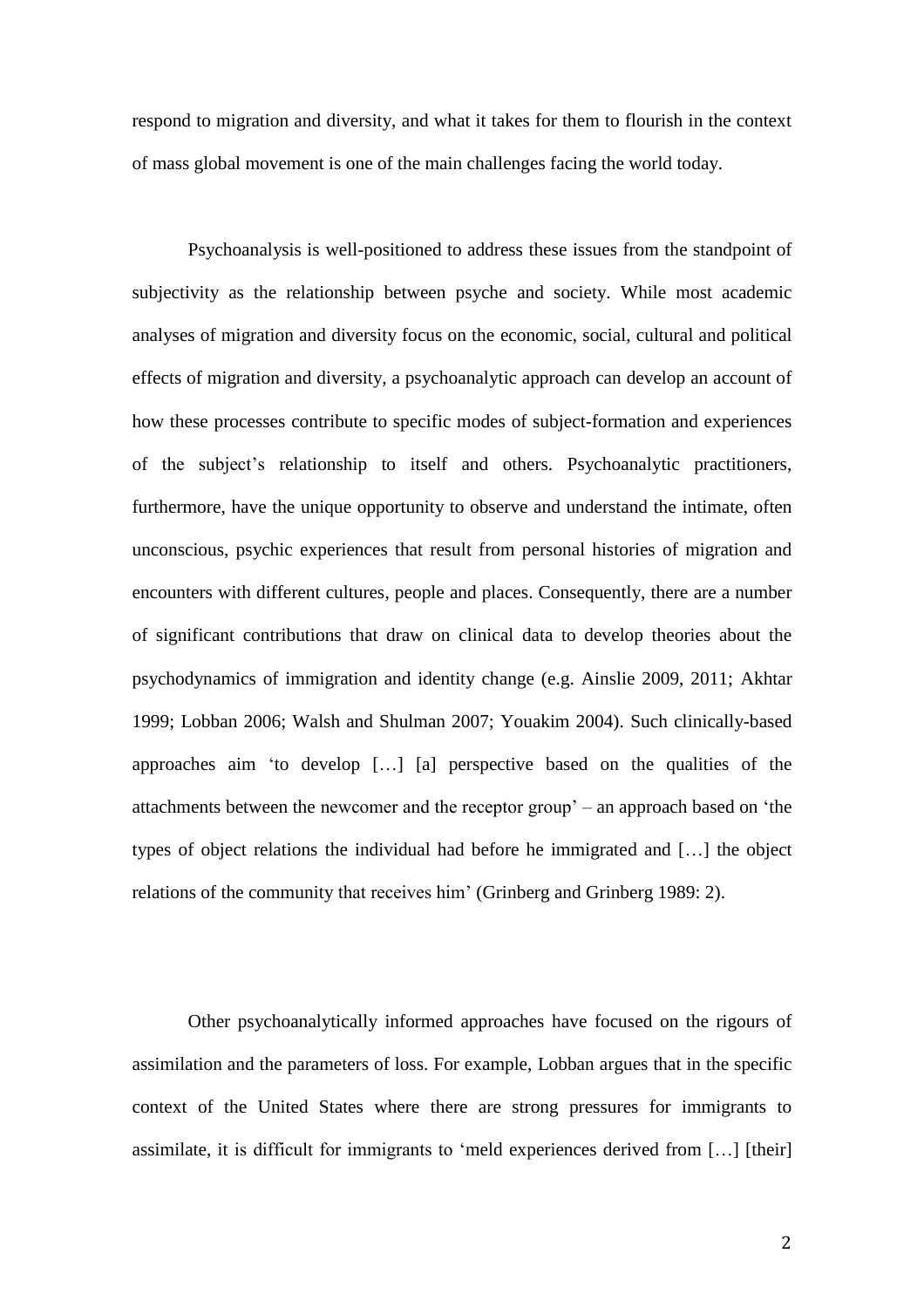respond to migration and diversity, and what it takes for them to flourish in the context of mass global movement is one of the main challenges facing the world today.

Psychoanalysis is well-positioned to address these issues from the standpoint of subjectivity as the relationship between psyche and society. While most academic analyses of migration and diversity focus on the economic, social, cultural and political effects of migration and diversity, a psychoanalytic approach can develop an account of how these processes contribute to specific modes of subject-formation and experiences of the subject's relationship to itself and others. Psychoanalytic practitioners, furthermore, have the unique opportunity to observe and understand the intimate, often unconscious, psychic experiences that result from personal histories of migration and encounters with different cultures, people and places. Consequently, there are a number of significant contributions that draw on clinical data to develop theories about the psychodynamics of immigration and identity change (e.g. Ainslie 2009, 2011; Akhtar 1999; Lobban 2006; Walsh and Shulman 2007; Youakim 2004). Such clinically-based approaches aim 'to develop […] [a] perspective based on the qualities of the attachments between the newcomer and the receptor group' – an approach based on 'the types of object relations the individual had before he immigrated and […] the object relations of the community that receives him' (Grinberg and Grinberg 1989: 2).

Other psychoanalytically informed approaches have focused on the rigours of assimilation and the parameters of loss. For example, Lobban argues that in the specific context of the United States where there are strong pressures for immigrants to assimilate, it is difficult for immigrants to 'meld experiences derived from […] [their]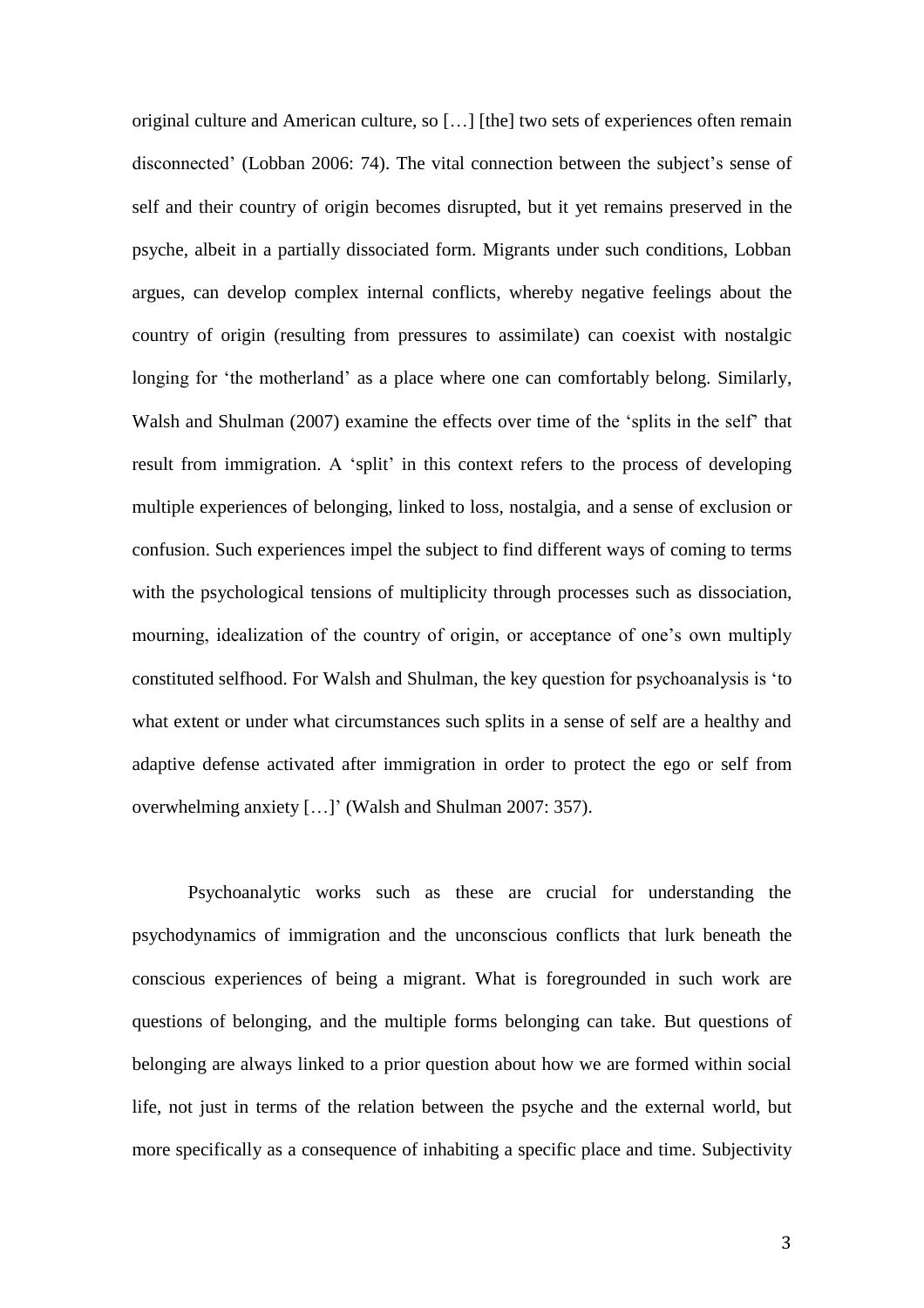original culture and American culture, so […] [the] two sets of experiences often remain disconnected' (Lobban 2006: 74). The vital connection between the subject's sense of self and their country of origin becomes disrupted, but it yet remains preserved in the psyche, albeit in a partially dissociated form. Migrants under such conditions, Lobban argues, can develop complex internal conflicts, whereby negative feelings about the country of origin (resulting from pressures to assimilate) can coexist with nostalgic longing for 'the motherland' as a place where one can comfortably belong. Similarly, Walsh and Shulman (2007) examine the effects over time of the 'splits in the self' that result from immigration. A 'split' in this context refers to the process of developing multiple experiences of belonging, linked to loss, nostalgia, and a sense of exclusion or confusion. Such experiences impel the subject to find different ways of coming to terms with the psychological tensions of multiplicity through processes such as dissociation, mourning, idealization of the country of origin, or acceptance of one's own multiply constituted selfhood. For Walsh and Shulman, the key question for psychoanalysis is 'to what extent or under what circumstances such splits in a sense of self are a healthy and adaptive defense activated after immigration in order to protect the ego or self from overwhelming anxiety […]' (Walsh and Shulman 2007: 357).

Psychoanalytic works such as these are crucial for understanding the psychodynamics of immigration and the unconscious conflicts that lurk beneath the conscious experiences of being a migrant. What is foregrounded in such work are questions of belonging, and the multiple forms belonging can take. But questions of belonging are always linked to a prior question about how we are formed within social life, not just in terms of the relation between the psyche and the external world, but more specifically as a consequence of inhabiting a specific place and time. Subjectivity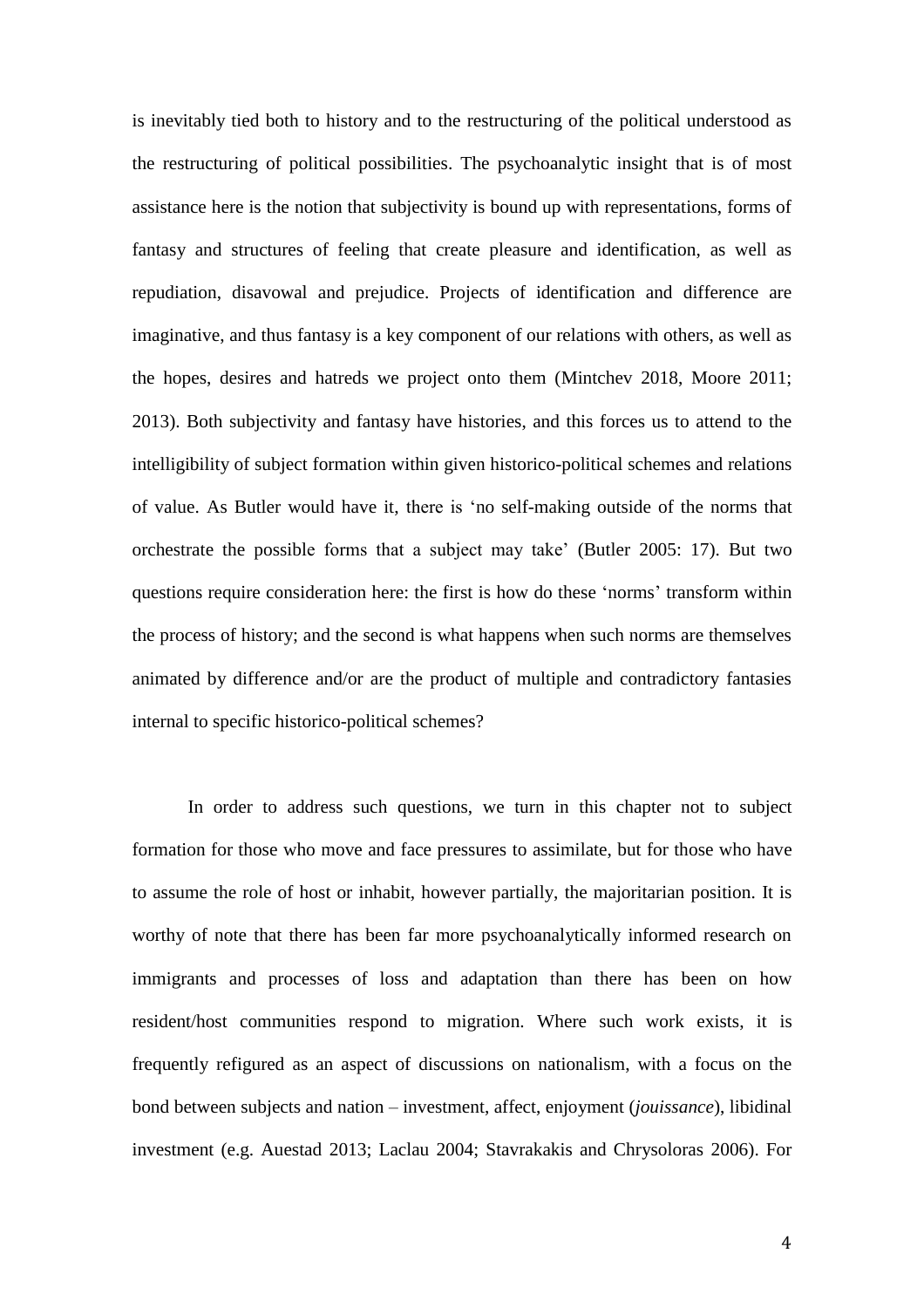is inevitably tied both to history and to the restructuring of the political understood as the restructuring of political possibilities. The psychoanalytic insight that is of most assistance here is the notion that subjectivity is bound up with representations, forms of fantasy and structures of feeling that create pleasure and identification, as well as repudiation, disavowal and prejudice. Projects of identification and difference are imaginative, and thus fantasy is a key component of our relations with others, as well as the hopes, desires and hatreds we project onto them (Mintchev 2018, Moore 2011; 2013). Both subjectivity and fantasy have histories, and this forces us to attend to the intelligibility of subject formation within given historico-political schemes and relations of value. As Butler would have it, there is 'no self-making outside of the norms that orchestrate the possible forms that a subject may take' (Butler 2005: 17). But two questions require consideration here: the first is how do these 'norms' transform within the process of history; and the second is what happens when such norms are themselves animated by difference and/or are the product of multiple and contradictory fantasies internal to specific historico-political schemes?

In order to address such questions, we turn in this chapter not to subject formation for those who move and face pressures to assimilate, but for those who have to assume the role of host or inhabit, however partially, the majoritarian position. It is worthy of note that there has been far more psychoanalytically informed research on immigrants and processes of loss and adaptation than there has been on how resident/host communities respond to migration. Where such work exists, it is frequently refigured as an aspect of discussions on nationalism, with a focus on the bond between subjects and nation – investment, affect, enjoyment (*jouissance*), libidinal investment (e.g. Auestad 2013; Laclau 2004; Stavrakakis and Chrysoloras 2006). For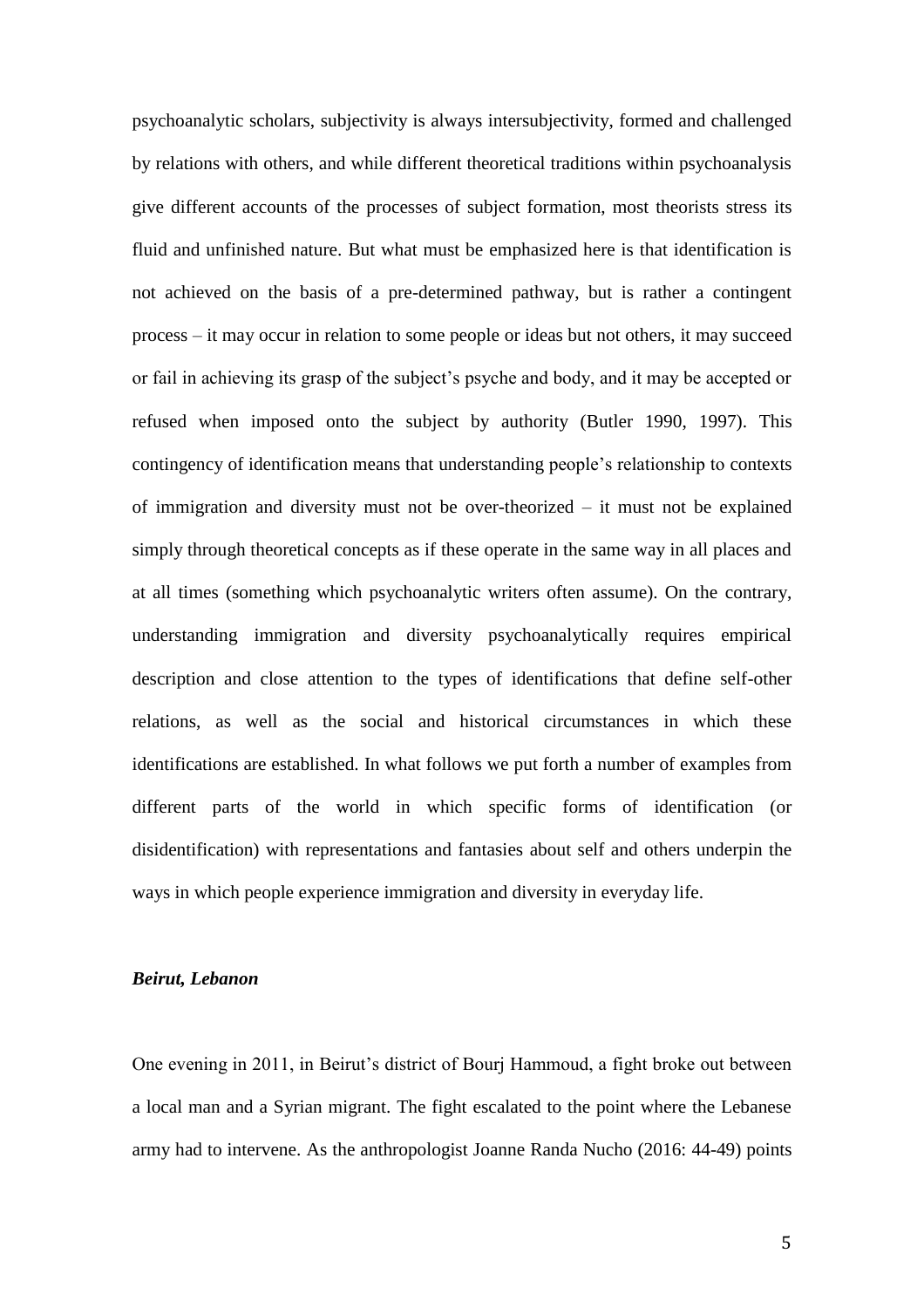psychoanalytic scholars, subjectivity is always intersubjectivity, formed and challenged by relations with others, and while different theoretical traditions within psychoanalysis give different accounts of the processes of subject formation, most theorists stress its fluid and unfinished nature. But what must be emphasized here is that identification is not achieved on the basis of a pre-determined pathway, but is rather a contingent process – it may occur in relation to some people or ideas but not others, it may succeed or fail in achieving its grasp of the subject's psyche and body, and it may be accepted or refused when imposed onto the subject by authority (Butler 1990, 1997). This contingency of identification means that understanding people's relationship to contexts of immigration and diversity must not be over-theorized – it must not be explained simply through theoretical concepts as if these operate in the same way in all places and at all times (something which psychoanalytic writers often assume). On the contrary, understanding immigration and diversity psychoanalytically requires empirical description and close attention to the types of identifications that define self-other relations, as well as the social and historical circumstances in which these identifications are established. In what follows we put forth a number of examples from different parts of the world in which specific forms of identification (or disidentification) with representations and fantasies about self and others underpin the ways in which people experience immigration and diversity in everyday life.

## *Beirut, Lebanon*

One evening in 2011, in Beirut's district of Bourj Hammoud, a fight broke out between a local man and a Syrian migrant. The fight escalated to the point where the Lebanese army had to intervene. As the anthropologist Joanne Randa Nucho (2016: 44-49) points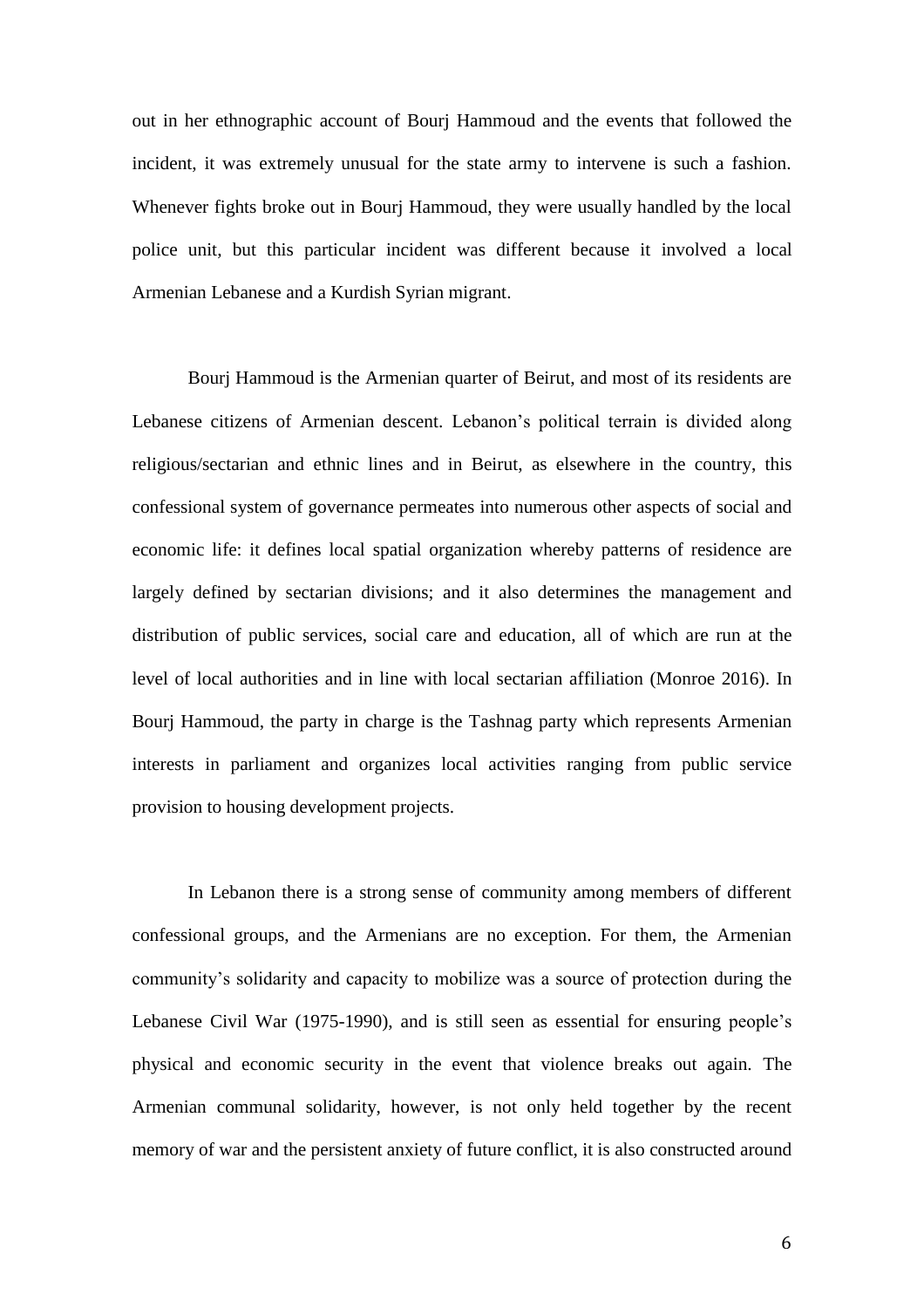out in her ethnographic account of Bourj Hammoud and the events that followed the incident, it was extremely unusual for the state army to intervene is such a fashion. Whenever fights broke out in Bourj Hammoud, they were usually handled by the local police unit, but this particular incident was different because it involved a local Armenian Lebanese and a Kurdish Syrian migrant.

Bourj Hammoud is the Armenian quarter of Beirut, and most of its residents are Lebanese citizens of Armenian descent. Lebanon's political terrain is divided along religious/sectarian and ethnic lines and in Beirut, as elsewhere in the country, this confessional system of governance permeates into numerous other aspects of social and economic life: it defines local spatial organization whereby patterns of residence are largely defined by sectarian divisions; and it also determines the management and distribution of public services, social care and education, all of which are run at the level of local authorities and in line with local sectarian affiliation (Monroe 2016). In Bourj Hammoud, the party in charge is the Tashnag party which represents Armenian interests in parliament and organizes local activities ranging from public service provision to housing development projects.

In Lebanon there is a strong sense of community among members of different confessional groups, and the Armenians are no exception. For them, the Armenian community's solidarity and capacity to mobilize was a source of protection during the Lebanese Civil War (1975-1990), and is still seen as essential for ensuring people's physical and economic security in the event that violence breaks out again. The Armenian communal solidarity, however, is not only held together by the recent memory of war and the persistent anxiety of future conflict, it is also constructed around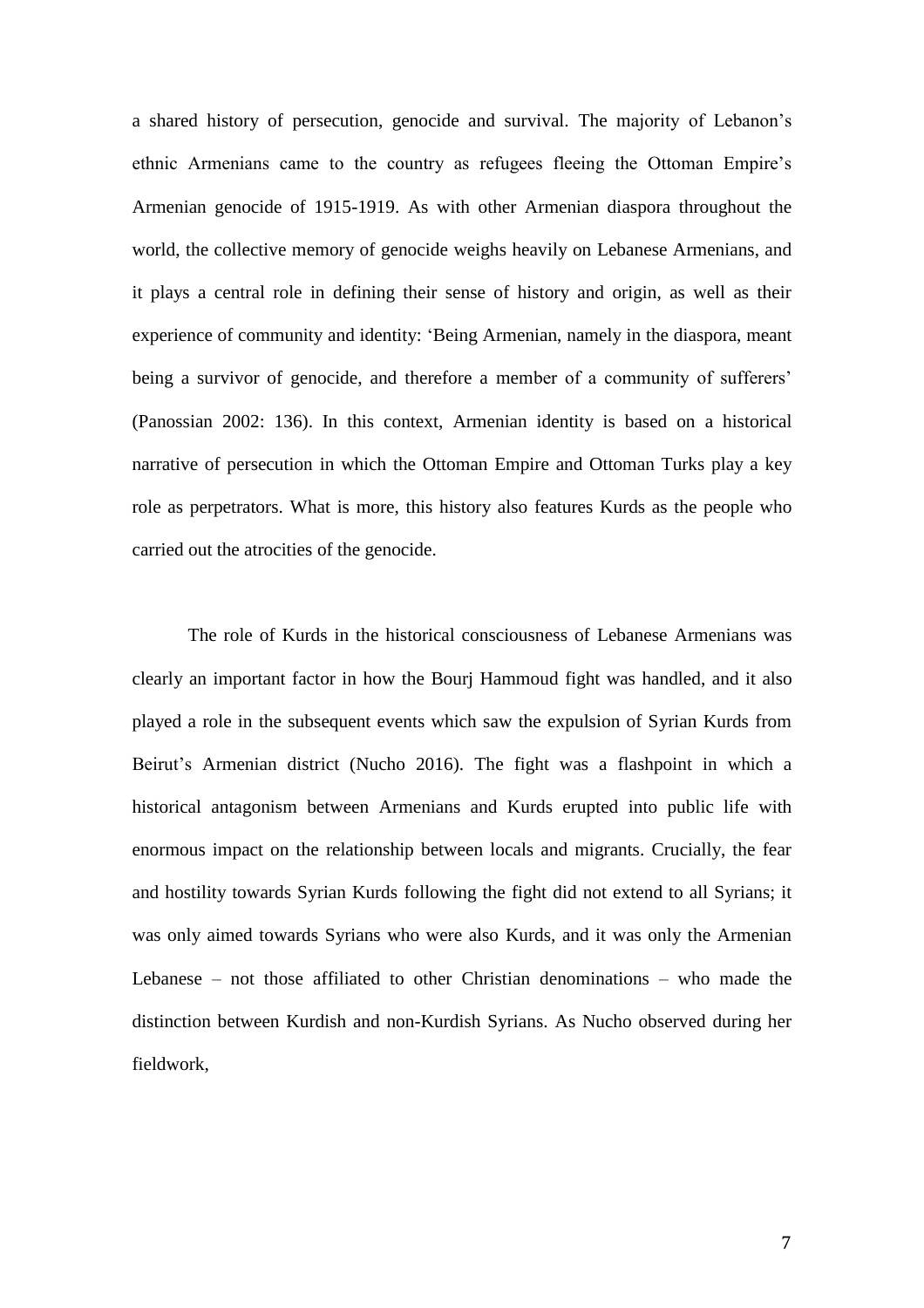a shared history of persecution, genocide and survival. The majority of Lebanon's ethnic Armenians came to the country as refugees fleeing the Ottoman Empire's Armenian genocide of 1915-1919. As with other Armenian diaspora throughout the world, the collective memory of genocide weighs heavily on Lebanese Armenians, and it plays a central role in defining their sense of history and origin, as well as their experience of community and identity: 'Being Armenian, namely in the diaspora, meant being a survivor of genocide, and therefore a member of a community of sufferers' (Panossian 2002: 136). In this context, Armenian identity is based on a historical narrative of persecution in which the Ottoman Empire and Ottoman Turks play a key role as perpetrators. What is more, this history also features Kurds as the people who carried out the atrocities of the genocide.

The role of Kurds in the historical consciousness of Lebanese Armenians was clearly an important factor in how the Bourj Hammoud fight was handled, and it also played a role in the subsequent events which saw the expulsion of Syrian Kurds from Beirut's Armenian district (Nucho 2016). The fight was a flashpoint in which a historical antagonism between Armenians and Kurds erupted into public life with enormous impact on the relationship between locals and migrants. Crucially, the fear and hostility towards Syrian Kurds following the fight did not extend to all Syrians; it was only aimed towards Syrians who were also Kurds, and it was only the Armenian Lebanese – not those affiliated to other Christian denominations – who made the distinction between Kurdish and non-Kurdish Syrians. As Nucho observed during her fieldwork,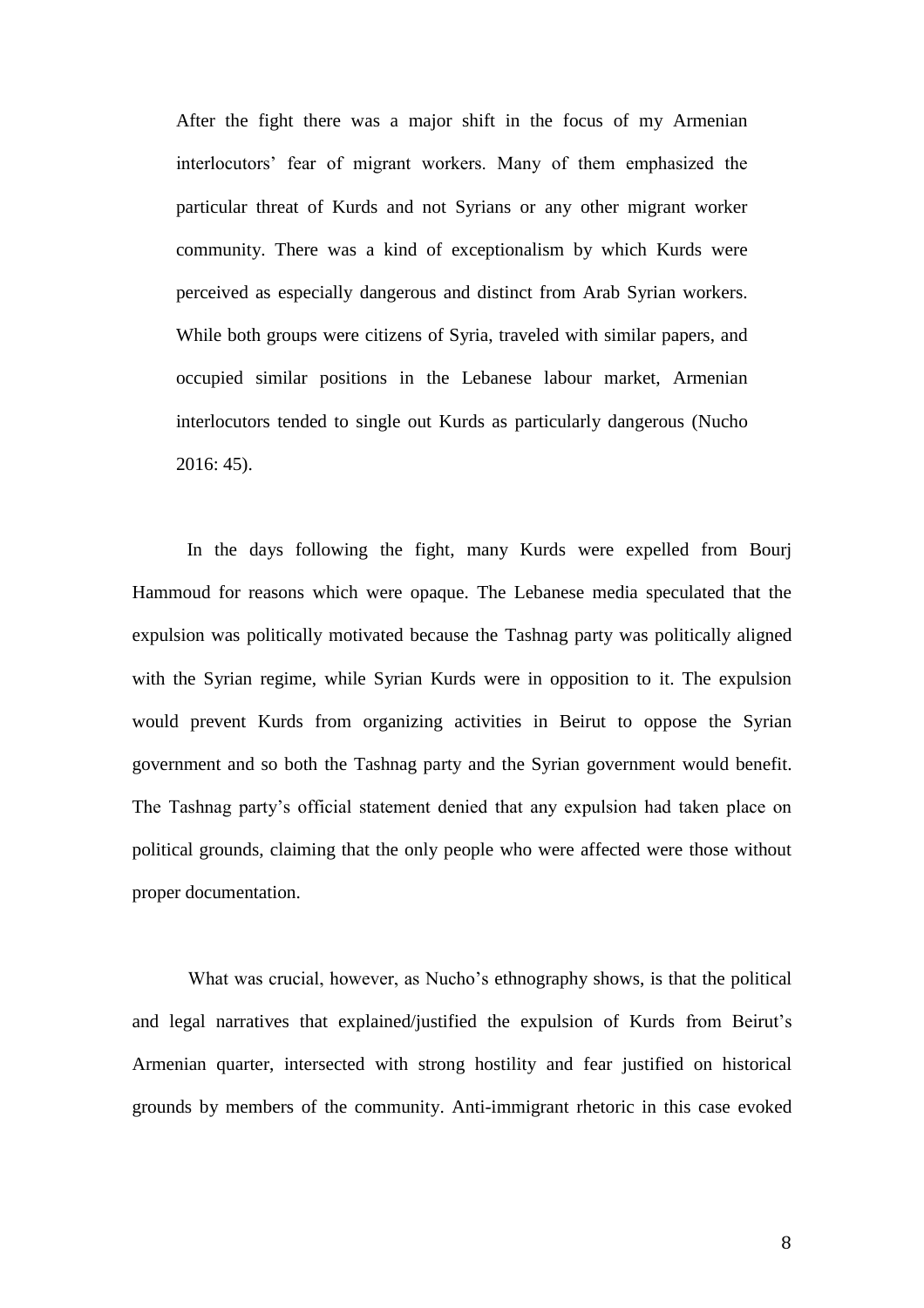After the fight there was a major shift in the focus of my Armenian interlocutors' fear of migrant workers. Many of them emphasized the particular threat of Kurds and not Syrians or any other migrant worker community. There was a kind of exceptionalism by which Kurds were perceived as especially dangerous and distinct from Arab Syrian workers. While both groups were citizens of Syria, traveled with similar papers, and occupied similar positions in the Lebanese labour market, Armenian interlocutors tended to single out Kurds as particularly dangerous (Nucho 2016: 45).

In the days following the fight, many Kurds were expelled from Bourj Hammoud for reasons which were opaque. The Lebanese media speculated that the expulsion was politically motivated because the Tashnag party was politically aligned with the Syrian regime, while Syrian Kurds were in opposition to it. The expulsion would prevent Kurds from organizing activities in Beirut to oppose the Syrian government and so both the Tashnag party and the Syrian government would benefit. The Tashnag party's official statement denied that any expulsion had taken place on political grounds, claiming that the only people who were affected were those without proper documentation.

What was crucial, however, as Nucho's ethnography shows, is that the political and legal narratives that explained/justified the expulsion of Kurds from Beirut's Armenian quarter, intersected with strong hostility and fear justified on historical grounds by members of the community. Anti-immigrant rhetoric in this case evoked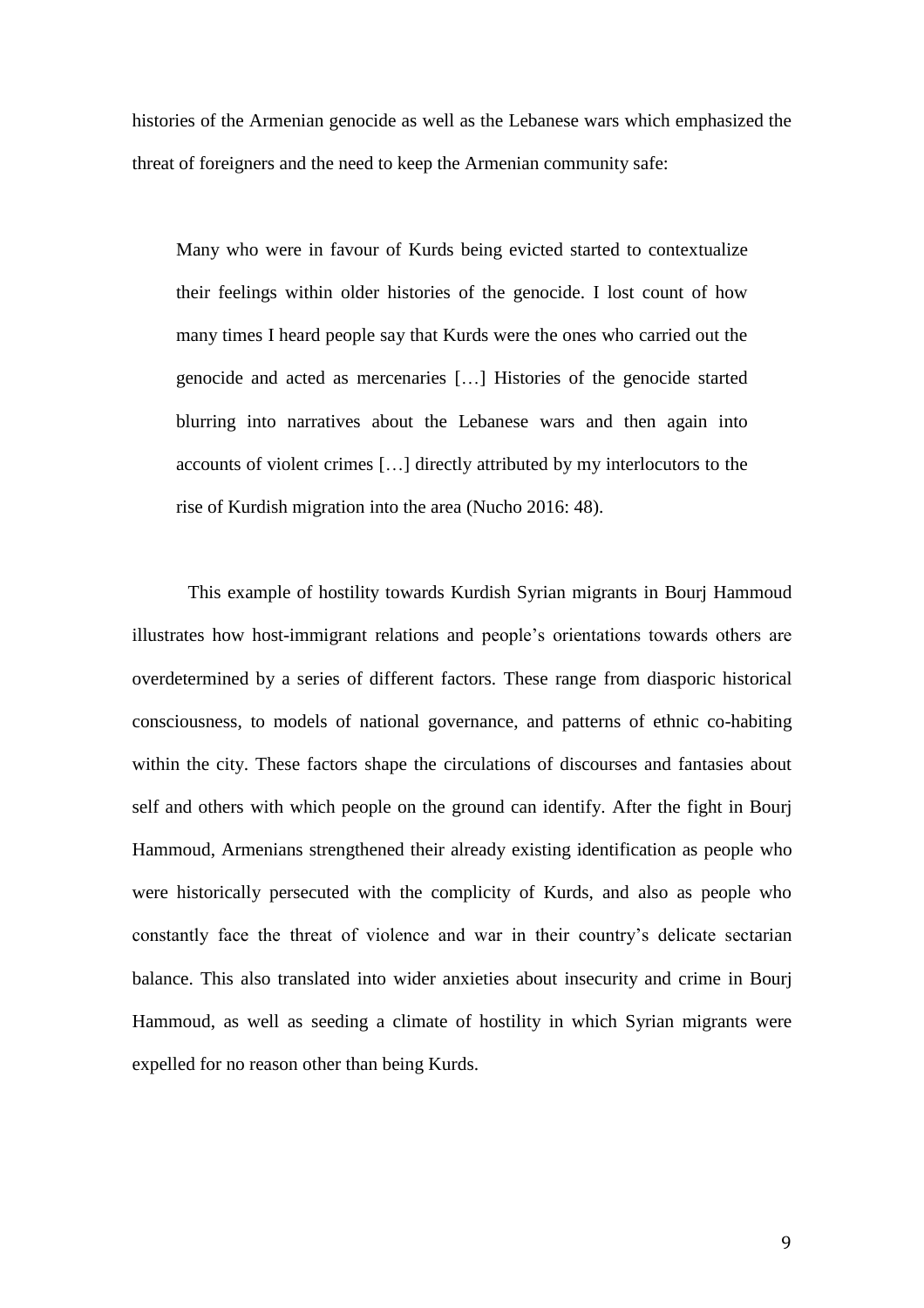histories of the Armenian genocide as well as the Lebanese wars which emphasized the threat of foreigners and the need to keep the Armenian community safe:

Many who were in favour of Kurds being evicted started to contextualize their feelings within older histories of the genocide. I lost count of how many times I heard people say that Kurds were the ones who carried out the genocide and acted as mercenaries […] Histories of the genocide started blurring into narratives about the Lebanese wars and then again into accounts of violent crimes […] directly attributed by my interlocutors to the rise of Kurdish migration into the area (Nucho 2016: 48).

This example of hostility towards Kurdish Syrian migrants in Bourj Hammoud illustrates how host-immigrant relations and people's orientations towards others are overdetermined by a series of different factors. These range from diasporic historical consciousness, to models of national governance, and patterns of ethnic co-habiting within the city. These factors shape the circulations of discourses and fantasies about self and others with which people on the ground can identify. After the fight in Bourj Hammoud, Armenians strengthened their already existing identification as people who were historically persecuted with the complicity of Kurds, and also as people who constantly face the threat of violence and war in their country's delicate sectarian balance. This also translated into wider anxieties about insecurity and crime in Bourj Hammoud, as well as seeding a climate of hostility in which Syrian migrants were expelled for no reason other than being Kurds.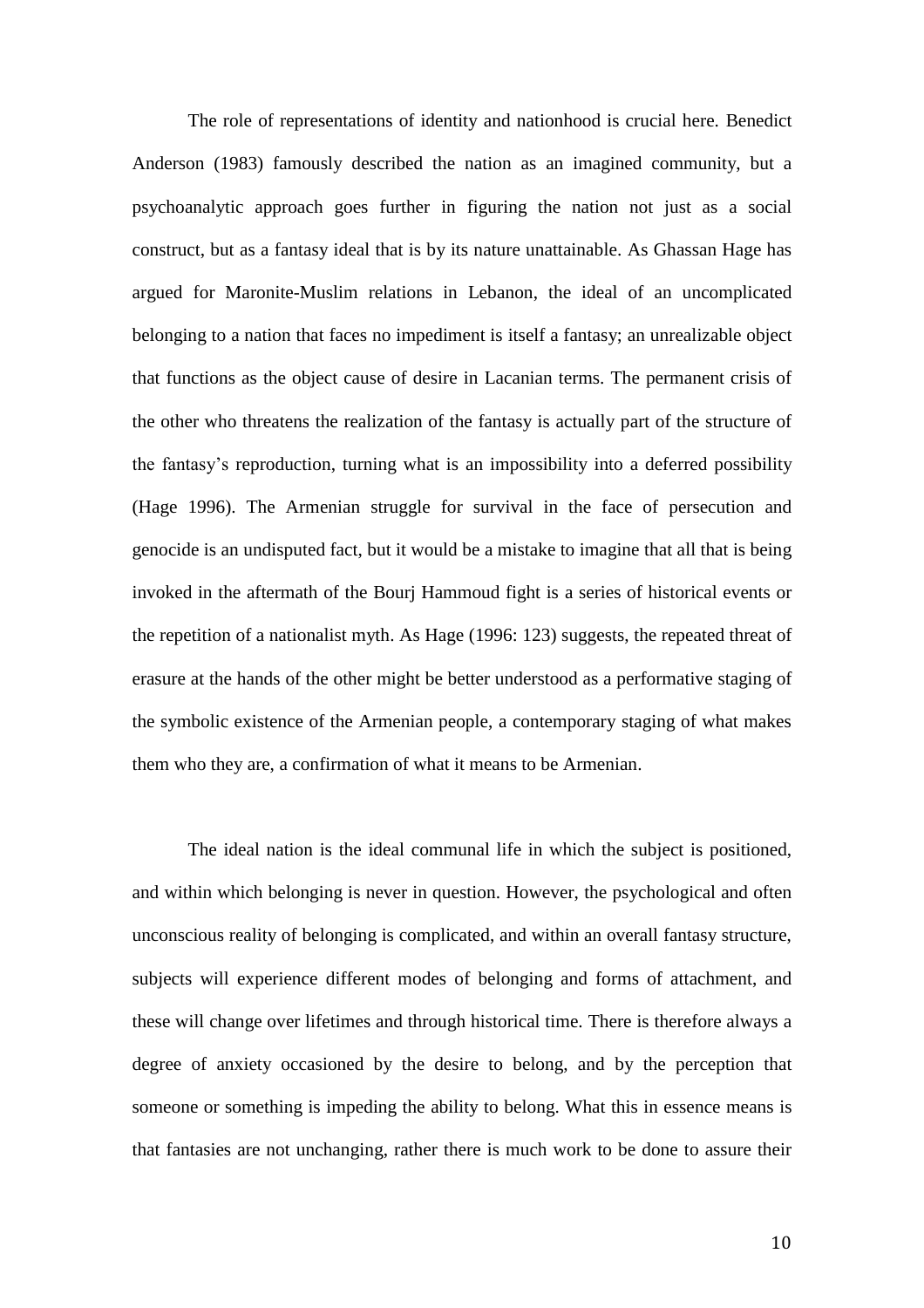The role of representations of identity and nationhood is crucial here. Benedict Anderson (1983) famously described the nation as an imagined community, but a psychoanalytic approach goes further in figuring the nation not just as a social construct, but as a fantasy ideal that is by its nature unattainable. As Ghassan Hage has argued for Maronite-Muslim relations in Lebanon, the ideal of an uncomplicated belonging to a nation that faces no impediment is itself a fantasy; an unrealizable object that functions as the object cause of desire in Lacanian terms. The permanent crisis of the other who threatens the realization of the fantasy is actually part of the structure of the fantasy's reproduction, turning what is an impossibility into a deferred possibility (Hage 1996). The Armenian struggle for survival in the face of persecution and genocide is an undisputed fact, but it would be a mistake to imagine that all that is being invoked in the aftermath of the Bourj Hammoud fight is a series of historical events or the repetition of a nationalist myth. As Hage (1996: 123) suggests, the repeated threat of erasure at the hands of the other might be better understood as a performative staging of the symbolic existence of the Armenian people, a contemporary staging of what makes them who they are, a confirmation of what it means to be Armenian.

The ideal nation is the ideal communal life in which the subject is positioned, and within which belonging is never in question. However, the psychological and often unconscious reality of belonging is complicated, and within an overall fantasy structure, subjects will experience different modes of belonging and forms of attachment, and these will change over lifetimes and through historical time. There is therefore always a degree of anxiety occasioned by the desire to belong, and by the perception that someone or something is impeding the ability to belong. What this in essence means is that fantasies are not unchanging, rather there is much work to be done to assure their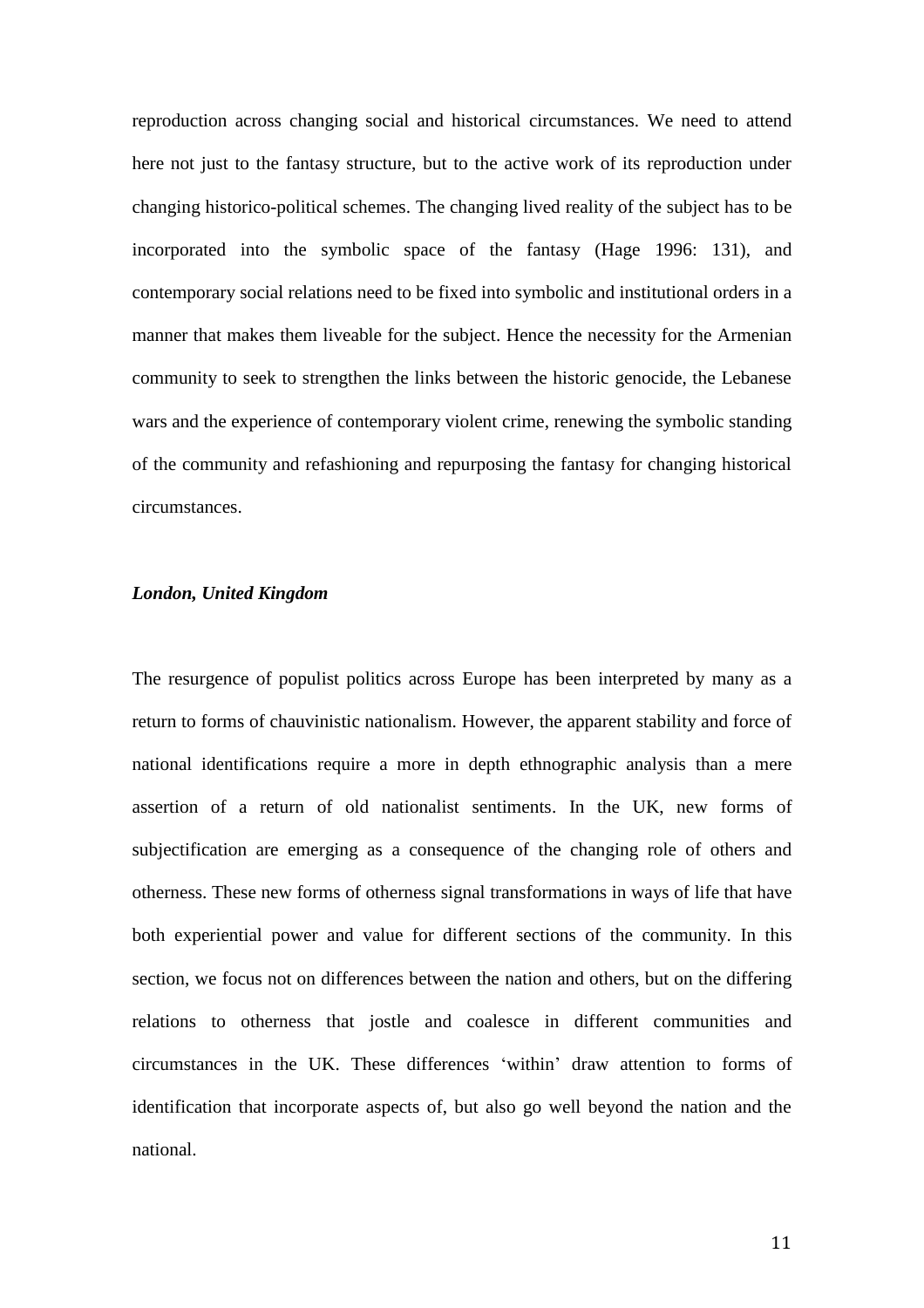reproduction across changing social and historical circumstances. We need to attend here not just to the fantasy structure, but to the active work of its reproduction under changing historico-political schemes. The changing lived reality of the subject has to be incorporated into the symbolic space of the fantasy (Hage 1996: 131), and contemporary social relations need to be fixed into symbolic and institutional orders in a manner that makes them liveable for the subject. Hence the necessity for the Armenian community to seek to strengthen the links between the historic genocide, the Lebanese wars and the experience of contemporary violent crime, renewing the symbolic standing of the community and refashioning and repurposing the fantasy for changing historical circumstances.

#### *London, United Kingdom*

The resurgence of populist politics across Europe has been interpreted by many as a return to forms of chauvinistic nationalism. However, the apparent stability and force of national identifications require a more in depth ethnographic analysis than a mere assertion of a return of old nationalist sentiments. In the UK, new forms of subjectification are emerging as a consequence of the changing role of others and otherness. These new forms of otherness signal transformations in ways of life that have both experiential power and value for different sections of the community. In this section, we focus not on differences between the nation and others, but on the differing relations to otherness that jostle and coalesce in different communities and circumstances in the UK. These differences 'within' draw attention to forms of identification that incorporate aspects of, but also go well beyond the nation and the national.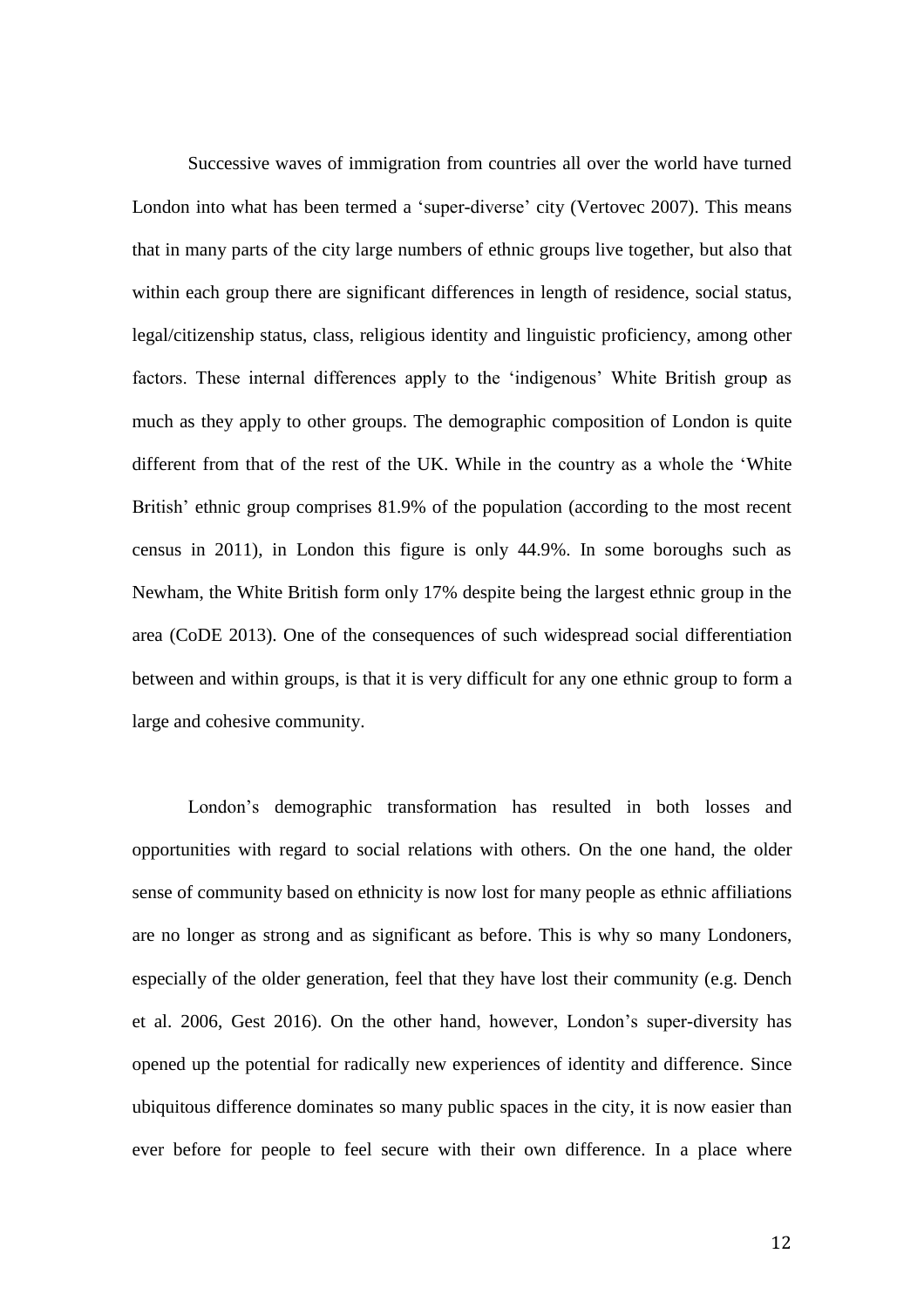Successive waves of immigration from countries all over the world have turned London into what has been termed a 'super-diverse' city (Vertovec 2007). This means that in many parts of the city large numbers of ethnic groups live together, but also that within each group there are significant differences in length of residence, social status, legal/citizenship status, class, religious identity and linguistic proficiency, among other factors. These internal differences apply to the 'indigenous' White British group as much as they apply to other groups. The demographic composition of London is quite different from that of the rest of the UK. While in the country as a whole the 'White British' ethnic group comprises 81.9% of the population (according to the most recent census in 2011), in London this figure is only 44.9%. In some boroughs such as Newham, the White British form only 17% despite being the largest ethnic group in the area (CoDE 2013). One of the consequences of such widespread social differentiation between and within groups, is that it is very difficult for any one ethnic group to form a large and cohesive community.

London's demographic transformation has resulted in both losses and opportunities with regard to social relations with others. On the one hand, the older sense of community based on ethnicity is now lost for many people as ethnic affiliations are no longer as strong and as significant as before. This is why so many Londoners, especially of the older generation, feel that they have lost their community (e.g. Dench et al. 2006, Gest 2016). On the other hand, however, London's super-diversity has opened up the potential for radically new experiences of identity and difference. Since ubiquitous difference dominates so many public spaces in the city, it is now easier than ever before for people to feel secure with their own difference. In a place where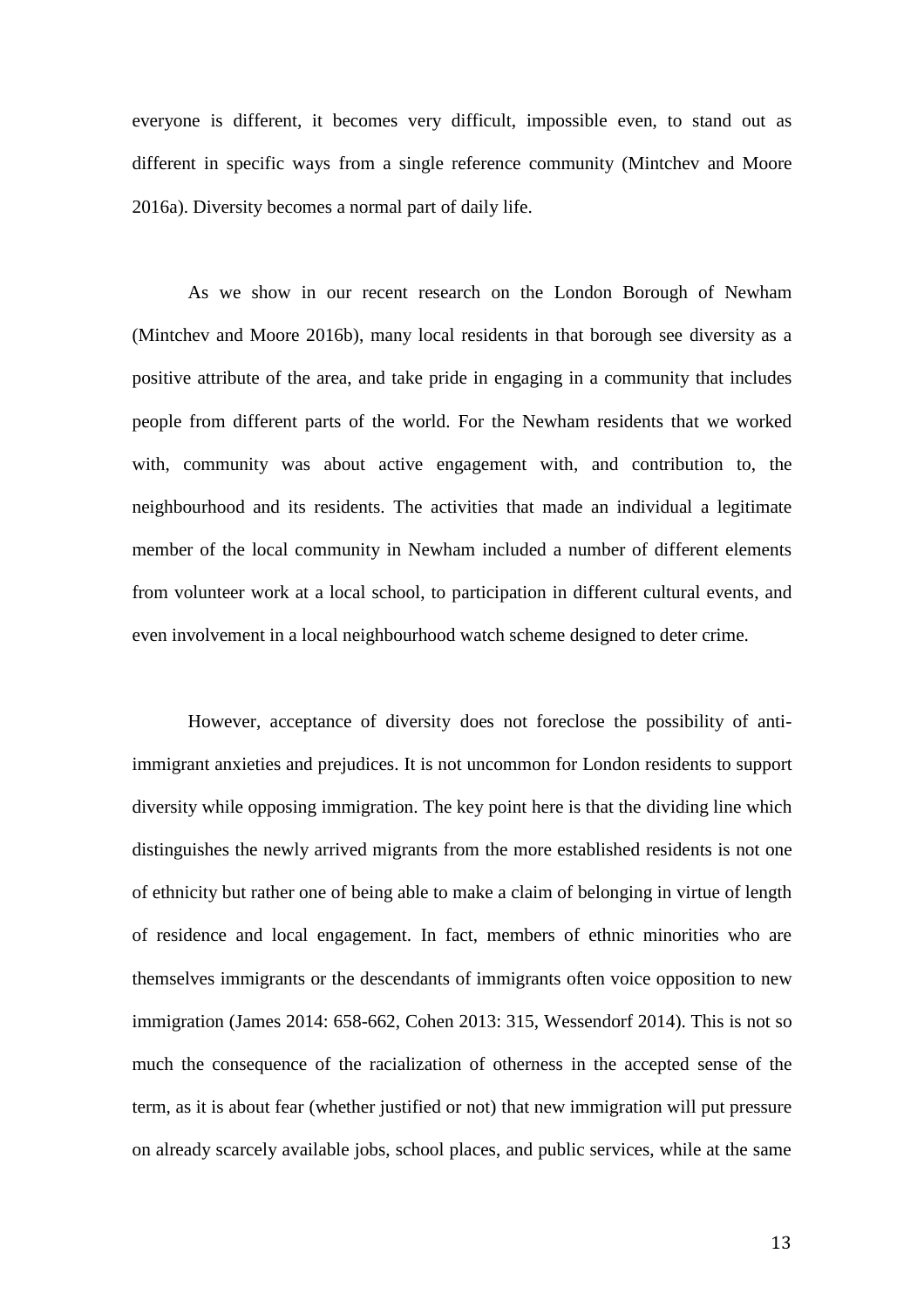everyone is different, it becomes very difficult, impossible even, to stand out as different in specific ways from a single reference community (Mintchev and Moore 2016a). Diversity becomes a normal part of daily life.

As we show in our recent research on the London Borough of Newham (Mintchev and Moore 2016b), many local residents in that borough see diversity as a positive attribute of the area, and take pride in engaging in a community that includes people from different parts of the world. For the Newham residents that we worked with, community was about active engagement with, and contribution to, the neighbourhood and its residents. The activities that made an individual a legitimate member of the local community in Newham included a number of different elements from volunteer work at a local school, to participation in different cultural events, and even involvement in a local neighbourhood watch scheme designed to deter crime.

However, acceptance of diversity does not foreclose the possibility of antiimmigrant anxieties and prejudices. It is not uncommon for London residents to support diversity while opposing immigration. The key point here is that the dividing line which distinguishes the newly arrived migrants from the more established residents is not one of ethnicity but rather one of being able to make a claim of belonging in virtue of length of residence and local engagement. In fact, members of ethnic minorities who are themselves immigrants or the descendants of immigrants often voice opposition to new immigration (James 2014: 658-662, Cohen 2013: 315, Wessendorf 2014). This is not so much the consequence of the racialization of otherness in the accepted sense of the term, as it is about fear (whether justified or not) that new immigration will put pressure on already scarcely available jobs, school places, and public services, while at the same

13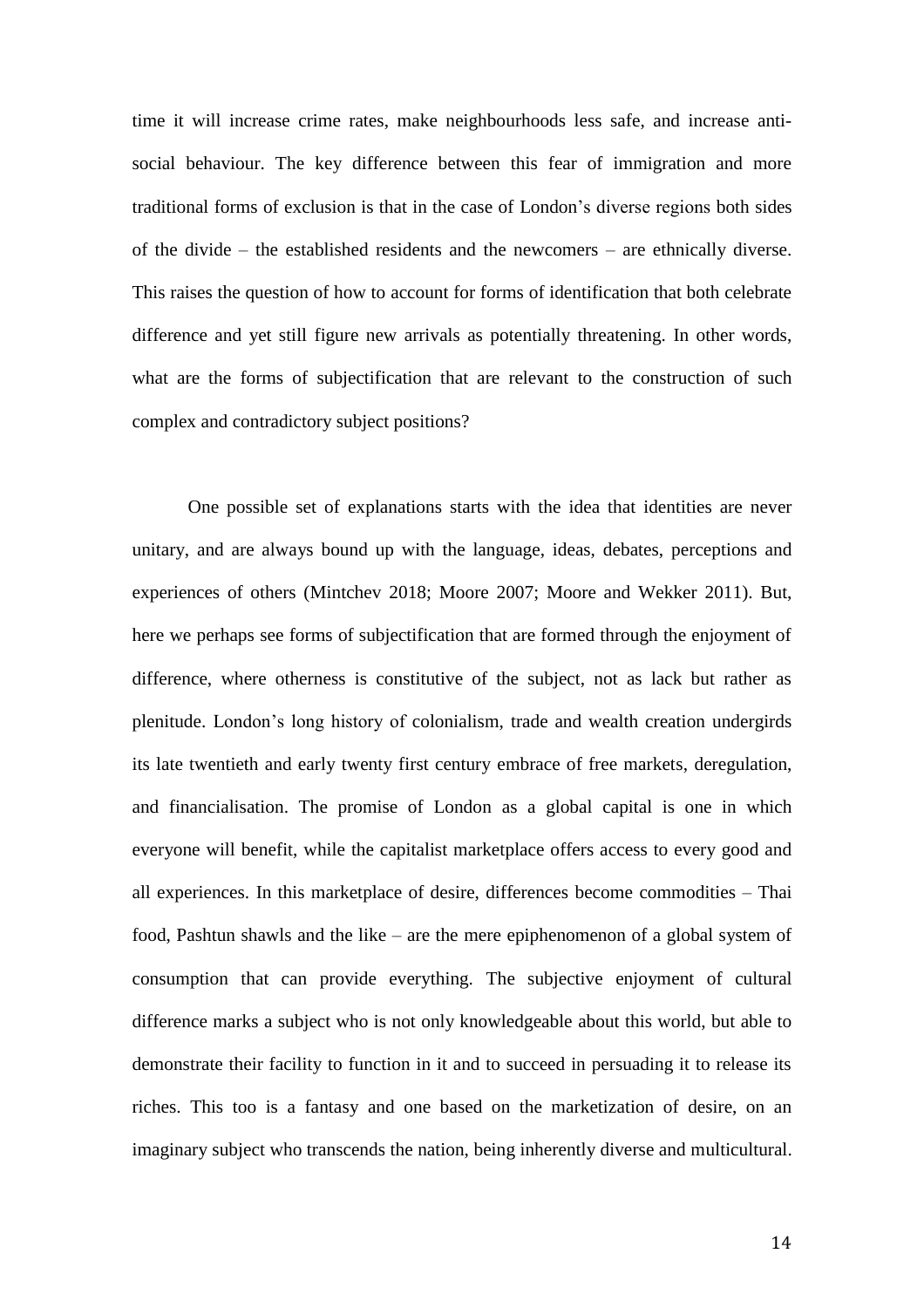time it will increase crime rates, make neighbourhoods less safe, and increase antisocial behaviour. The key difference between this fear of immigration and more traditional forms of exclusion is that in the case of London's diverse regions both sides of the divide – the established residents and the newcomers – are ethnically diverse. This raises the question of how to account for forms of identification that both celebrate difference and yet still figure new arrivals as potentially threatening. In other words, what are the forms of subjectification that are relevant to the construction of such complex and contradictory subject positions?

One possible set of explanations starts with the idea that identities are never unitary, and are always bound up with the language, ideas, debates, perceptions and experiences of others (Mintchev 2018; Moore 2007; Moore and Wekker 2011). But, here we perhaps see forms of subjectification that are formed through the enjoyment of difference, where otherness is constitutive of the subject, not as lack but rather as plenitude. London's long history of colonialism, trade and wealth creation undergirds its late twentieth and early twenty first century embrace of free markets, deregulation, and financialisation. The promise of London as a global capital is one in which everyone will benefit, while the capitalist marketplace offers access to every good and all experiences. In this marketplace of desire, differences become commodities – Thai food, Pashtun shawls and the like – are the mere epiphenomenon of a global system of consumption that can provide everything. The subjective enjoyment of cultural difference marks a subject who is not only knowledgeable about this world, but able to demonstrate their facility to function in it and to succeed in persuading it to release its riches. This too is a fantasy and one based on the marketization of desire, on an imaginary subject who transcends the nation, being inherently diverse and multicultural.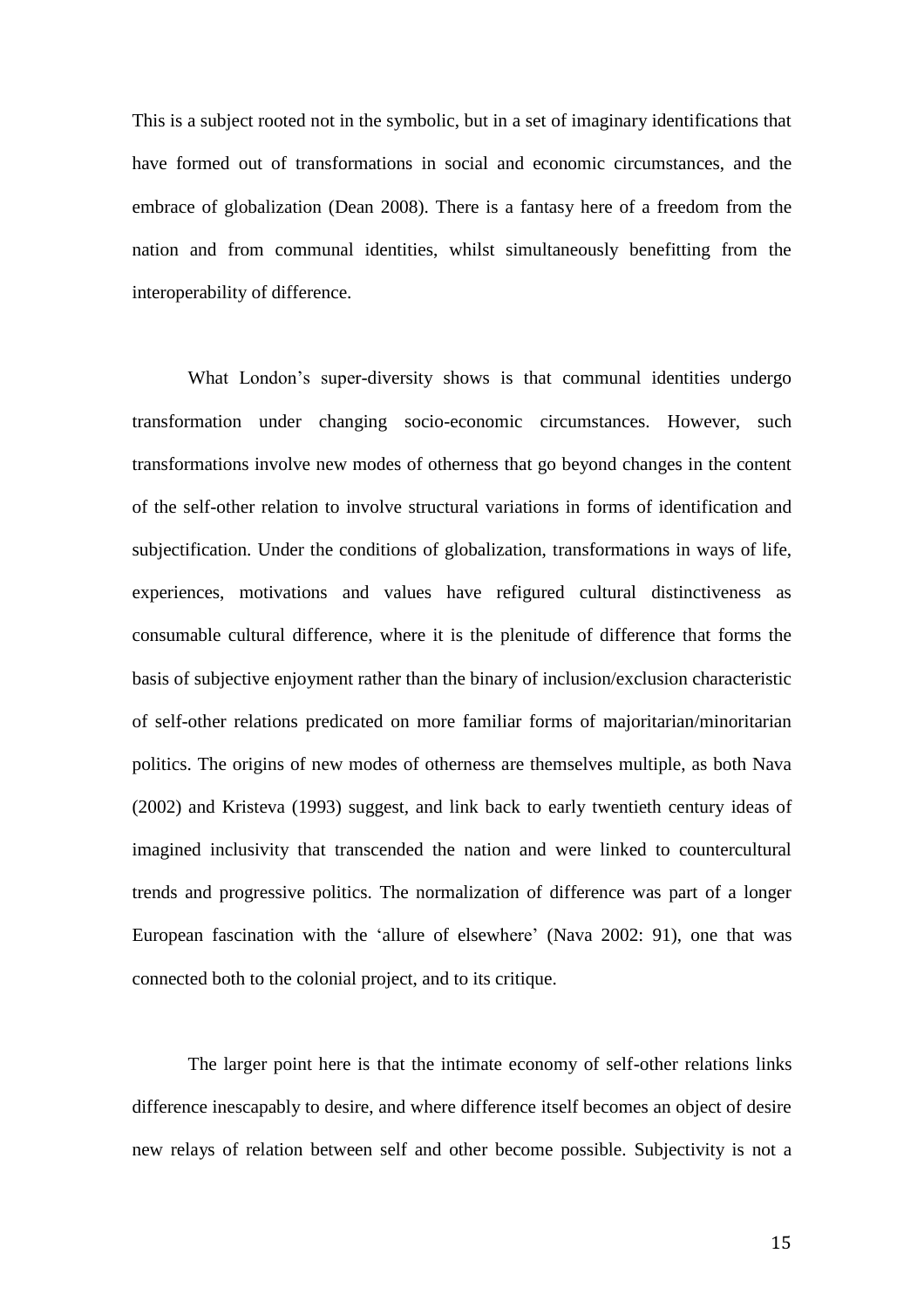This is a subject rooted not in the symbolic, but in a set of imaginary identifications that have formed out of transformations in social and economic circumstances, and the embrace of globalization (Dean 2008). There is a fantasy here of a freedom from the nation and from communal identities, whilst simultaneously benefitting from the interoperability of difference.

What London's super-diversity shows is that communal identities undergo transformation under changing socio-economic circumstances. However, such transformations involve new modes of otherness that go beyond changes in the content of the self-other relation to involve structural variations in forms of identification and subjectification. Under the conditions of globalization, transformations in ways of life, experiences, motivations and values have refigured cultural distinctiveness as consumable cultural difference, where it is the plenitude of difference that forms the basis of subjective enjoyment rather than the binary of inclusion/exclusion characteristic of self-other relations predicated on more familiar forms of majoritarian/minoritarian politics. The origins of new modes of otherness are themselves multiple, as both Nava (2002) and Kristeva (1993) suggest, and link back to early twentieth century ideas of imagined inclusivity that transcended the nation and were linked to countercultural trends and progressive politics. The normalization of difference was part of a longer European fascination with the 'allure of elsewhere' (Nava 2002: 91), one that was connected both to the colonial project, and to its critique.

The larger point here is that the intimate economy of self-other relations links difference inescapably to desire, and where difference itself becomes an object of desire new relays of relation between self and other become possible. Subjectivity is not a

15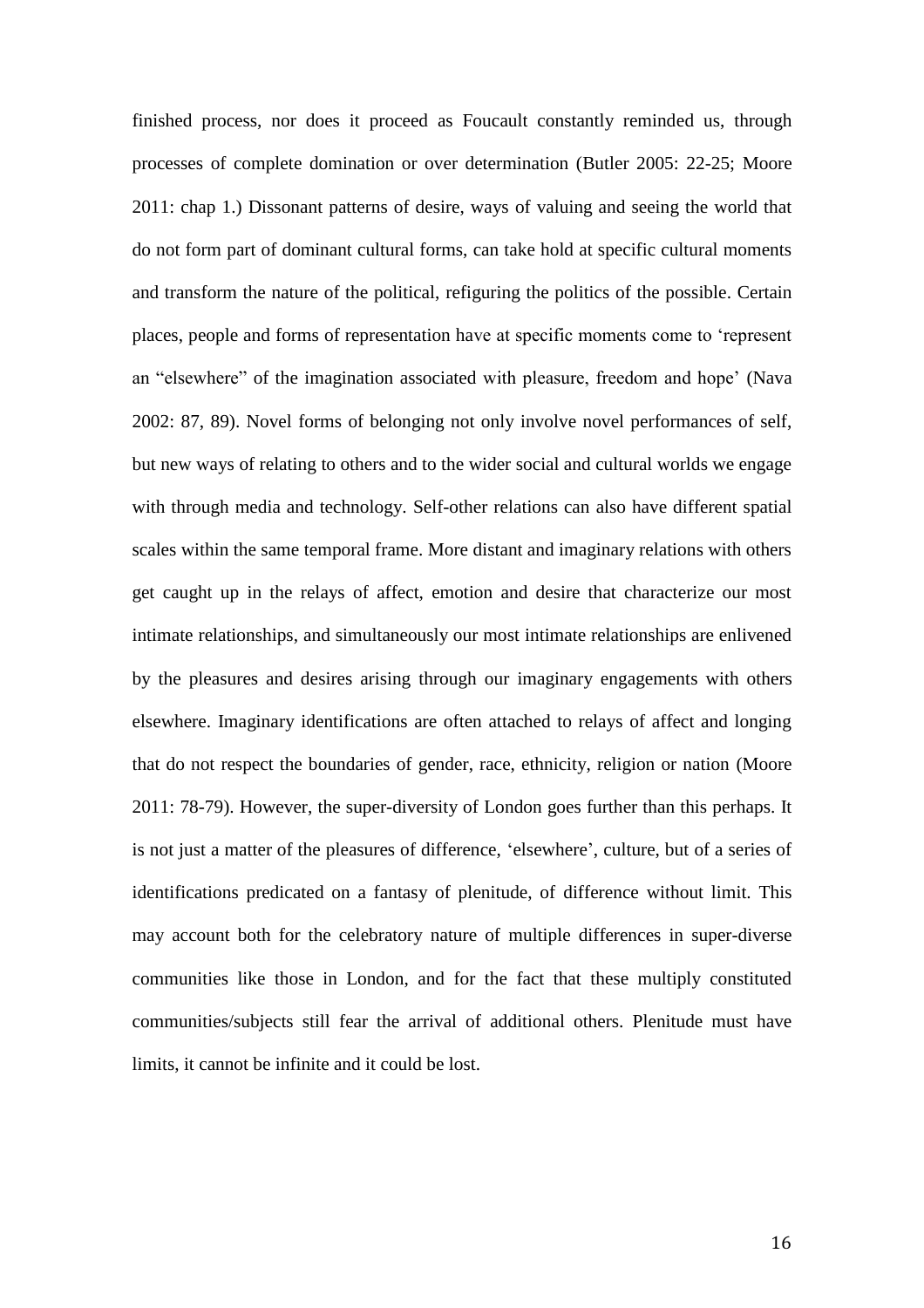finished process, nor does it proceed as Foucault constantly reminded us, through processes of complete domination or over determination (Butler 2005: 22-25; Moore 2011: chap 1.) Dissonant patterns of desire, ways of valuing and seeing the world that do not form part of dominant cultural forms, can take hold at specific cultural moments and transform the nature of the political, refiguring the politics of the possible. Certain places, people and forms of representation have at specific moments come to 'represent an "elsewhere" of the imagination associated with pleasure, freedom and hope' (Nava 2002: 87, 89). Novel forms of belonging not only involve novel performances of self, but new ways of relating to others and to the wider social and cultural worlds we engage with through media and technology. Self-other relations can also have different spatial scales within the same temporal frame. More distant and imaginary relations with others get caught up in the relays of affect, emotion and desire that characterize our most intimate relationships, and simultaneously our most intimate relationships are enlivened by the pleasures and desires arising through our imaginary engagements with others elsewhere. Imaginary identifications are often attached to relays of affect and longing that do not respect the boundaries of gender, race, ethnicity, religion or nation (Moore 2011: 78-79). However, the super-diversity of London goes further than this perhaps. It is not just a matter of the pleasures of difference, 'elsewhere', culture, but of a series of identifications predicated on a fantasy of plenitude, of difference without limit. This may account both for the celebratory nature of multiple differences in super-diverse communities like those in London, and for the fact that these multiply constituted communities/subjects still fear the arrival of additional others. Plenitude must have limits, it cannot be infinite and it could be lost.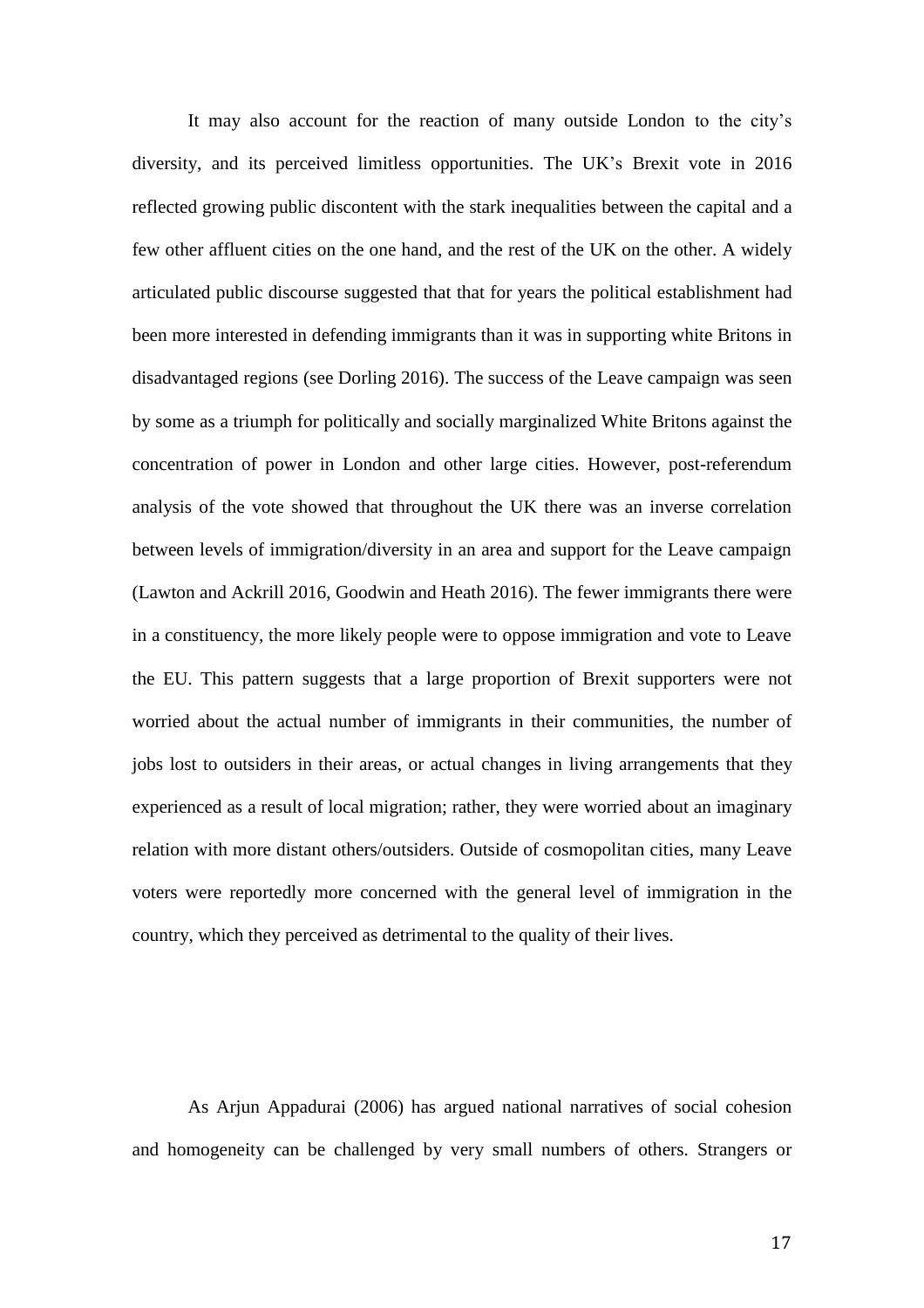It may also account for the reaction of many outside London to the city's diversity, and its perceived limitless opportunities. The UK's Brexit vote in 2016 reflected growing public discontent with the stark inequalities between the capital and a few other affluent cities on the one hand, and the rest of the UK on the other. A widely articulated public discourse suggested that that for years the political establishment had been more interested in defending immigrants than it was in supporting white Britons in disadvantaged regions (see Dorling 2016). The success of the Leave campaign was seen by some as a triumph for politically and socially marginalized White Britons against the concentration of power in London and other large cities. However, post-referendum analysis of the vote showed that throughout the UK there was an inverse correlation between levels of immigration/diversity in an area and support for the Leave campaign (Lawton and Ackrill 2016, Goodwin and Heath 2016). The fewer immigrants there were in a constituency, the more likely people were to oppose immigration and vote to Leave the EU. This pattern suggests that a large proportion of Brexit supporters were not worried about the actual number of immigrants in their communities, the number of jobs lost to outsiders in their areas, or actual changes in living arrangements that they experienced as a result of local migration; rather, they were worried about an imaginary relation with more distant others/outsiders. Outside of cosmopolitan cities, many Leave voters were reportedly more concerned with the general level of immigration in the country, which they perceived as detrimental to the quality of their lives.

As Arjun Appadurai (2006) has argued national narratives of social cohesion and homogeneity can be challenged by very small numbers of others. Strangers or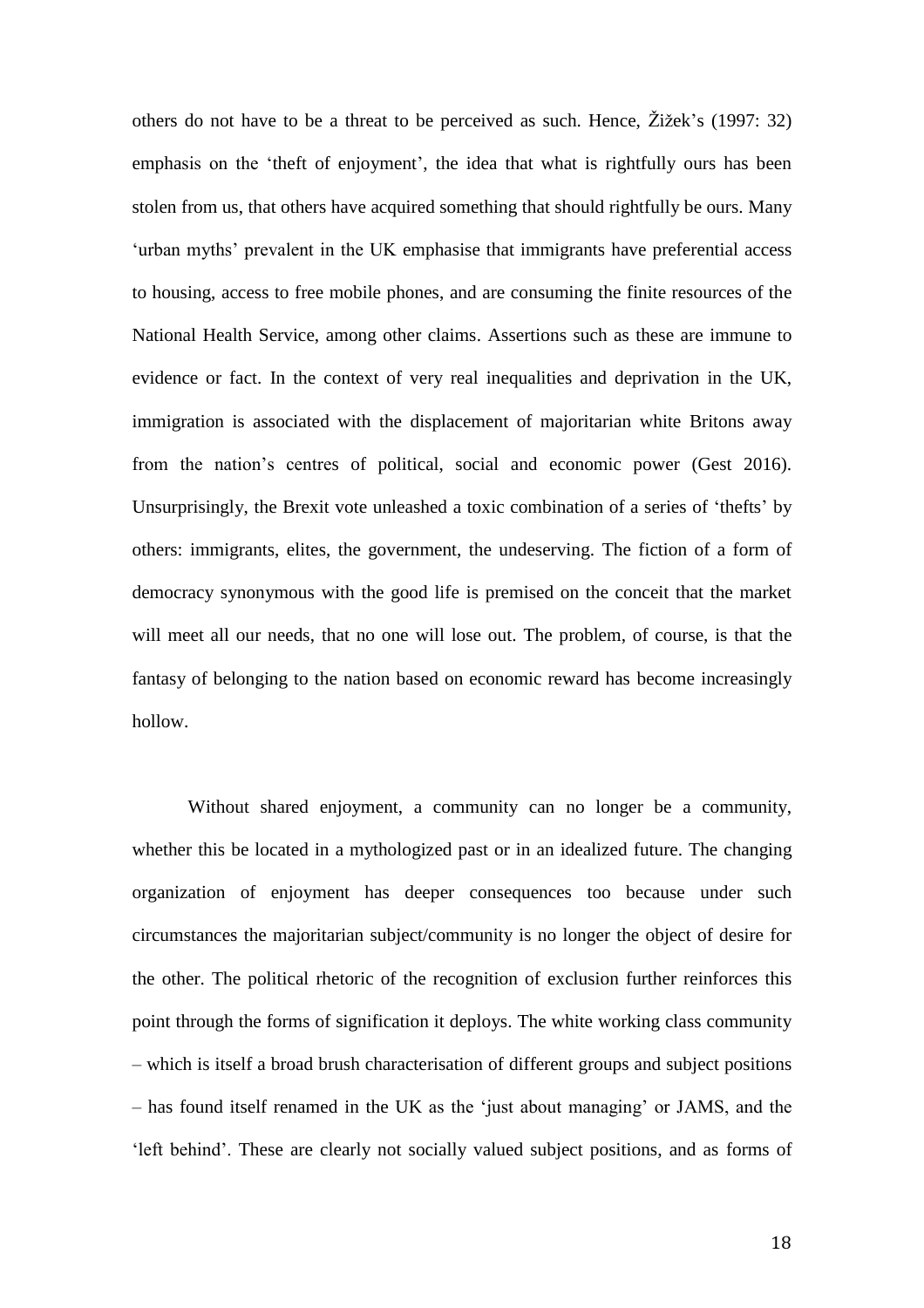others do not have to be a threat to be perceived as such. Hence, Žižek's (1997: 32) emphasis on the 'theft of enjoyment', the idea that what is rightfully ours has been stolen from us, that others have acquired something that should rightfully be ours. Many 'urban myths' prevalent in the UK emphasise that immigrants have preferential access to housing, access to free mobile phones, and are consuming the finite resources of the National Health Service, among other claims. Assertions such as these are immune to evidence or fact. In the context of very real inequalities and deprivation in the UK, immigration is associated with the displacement of majoritarian white Britons away from the nation's centres of political, social and economic power (Gest 2016). Unsurprisingly, the Brexit vote unleashed a toxic combination of a series of 'thefts' by others: immigrants, elites, the government, the undeserving. The fiction of a form of democracy synonymous with the good life is premised on the conceit that the market will meet all our needs, that no one will lose out. The problem, of course, is that the fantasy of belonging to the nation based on economic reward has become increasingly hollow.

Without shared enjoyment, a community can no longer be a community, whether this be located in a mythologized past or in an idealized future. The changing organization of enjoyment has deeper consequences too because under such circumstances the majoritarian subject/community is no longer the object of desire for the other. The political rhetoric of the recognition of exclusion further reinforces this point through the forms of signification it deploys. The white working class community – which is itself a broad brush characterisation of different groups and subject positions – has found itself renamed in the UK as the 'just about managing' or JAMS, and the 'left behind'. These are clearly not socially valued subject positions, and as forms of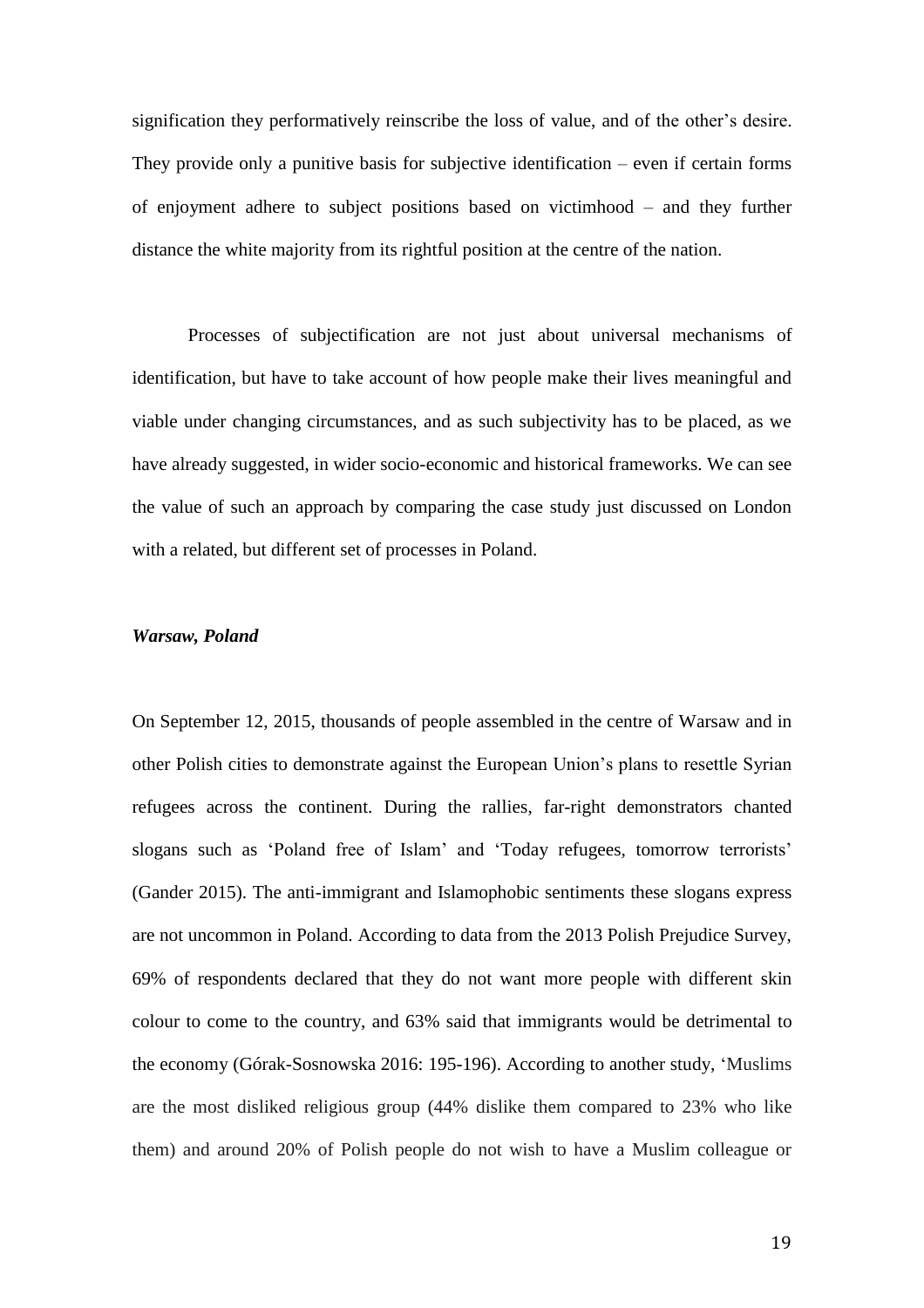signification they performatively reinscribe the loss of value, and of the other's desire. They provide only a punitive basis for subjective identification – even if certain forms of enjoyment adhere to subject positions based on victimhood – and they further distance the white majority from its rightful position at the centre of the nation.

Processes of subjectification are not just about universal mechanisms of identification, but have to take account of how people make their lives meaningful and viable under changing circumstances, and as such subjectivity has to be placed, as we have already suggested, in wider socio-economic and historical frameworks. We can see the value of such an approach by comparing the case study just discussed on London with a related, but different set of processes in Poland.

#### *Warsaw, Poland*

On September 12, 2015, thousands of people assembled in the centre of Warsaw and in other Polish cities to demonstrate against the European Union's plans to resettle Syrian refugees across the continent. During the rallies, far-right demonstrators chanted slogans such as 'Poland free of Islam' and 'Today refugees, tomorrow terrorists' (Gander 2015). The anti-immigrant and Islamophobic sentiments these slogans express are not uncommon in Poland. According to data from the 2013 Polish Prejudice Survey, 69% of respondents declared that they do not want more people with different skin colour to come to the country, and 63% said that immigrants would be detrimental to the economy (Górak-Sosnowska 2016: 195-196). According to another study, 'Muslims are the most disliked religious group (44% dislike them compared to 23% who like them) and around 20% of Polish people do not wish to have a Muslim colleague or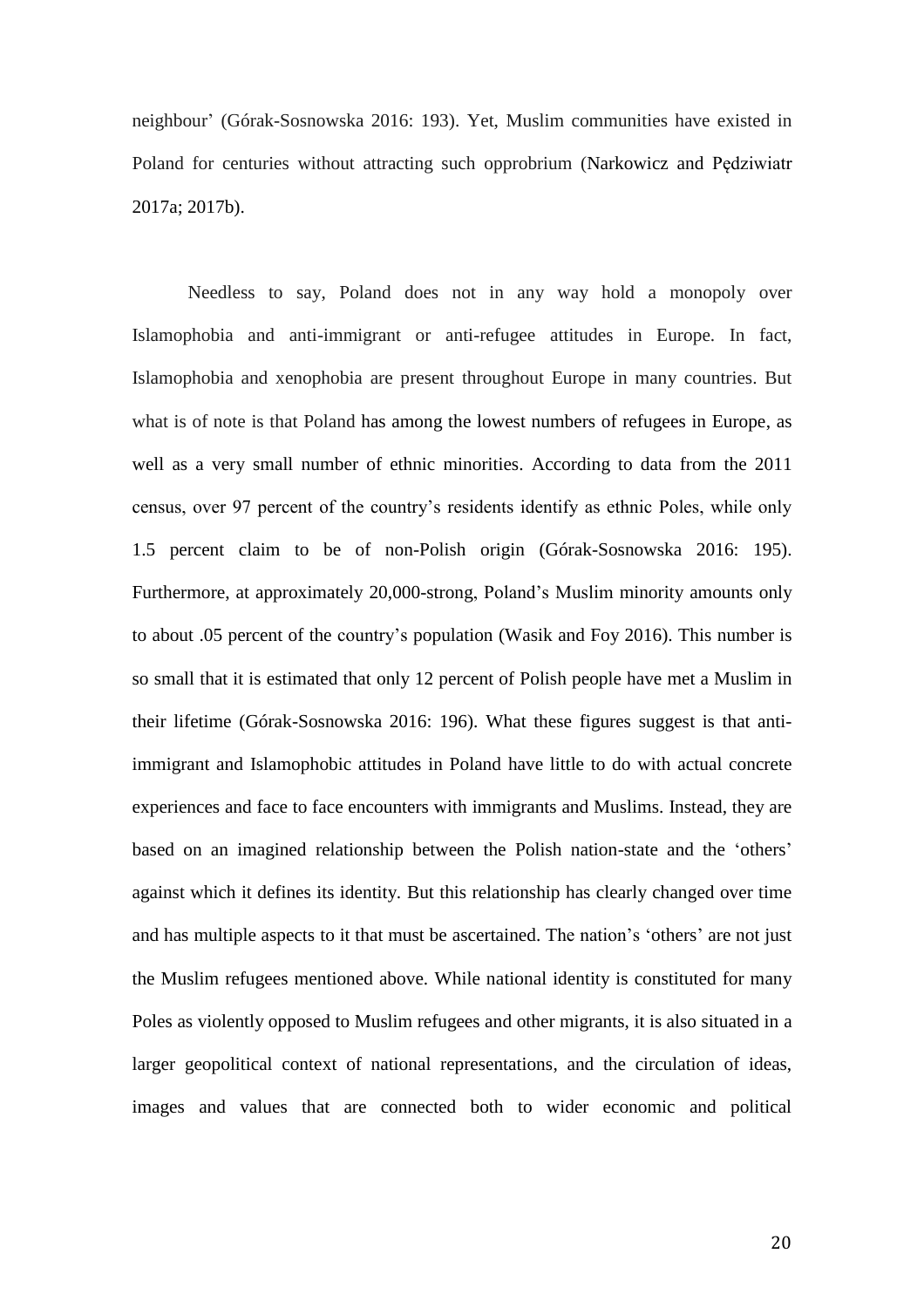neighbour' (Górak-Sosnowska 2016: 193). Yet, Muslim communities have existed in Poland for centuries without attracting such opprobrium (Narkowicz and Pędziwiatr 2017a; 2017b).

Needless to say, Poland does not in any way hold a monopoly over Islamophobia and anti-immigrant or anti-refugee attitudes in Europe. In fact, Islamophobia and xenophobia are present throughout Europe in many countries. But what is of note is that Poland has among the lowest numbers of refugees in Europe, as well as a very small number of ethnic minorities. According to data from the 2011 census, over 97 percent of the country's residents identify as ethnic Poles, while only 1.5 percent claim to be of non-Polish origin (Górak-Sosnowska 2016: 195). Furthermore, at approximately 20,000-strong, Poland's Muslim minority amounts only to about .05 percent of the country's population (Wasik and Foy 2016). This number is so small that it is estimated that only 12 percent of Polish people have met a Muslim in their lifetime (Górak-Sosnowska 2016: 196). What these figures suggest is that antiimmigrant and Islamophobic attitudes in Poland have little to do with actual concrete experiences and face to face encounters with immigrants and Muslims. Instead, they are based on an imagined relationship between the Polish nation-state and the 'others' against which it defines its identity. But this relationship has clearly changed over time and has multiple aspects to it that must be ascertained. The nation's 'others' are not just the Muslim refugees mentioned above. While national identity is constituted for many Poles as violently opposed to Muslim refugees and other migrants, it is also situated in a larger geopolitical context of national representations, and the circulation of ideas, images and values that are connected both to wider economic and political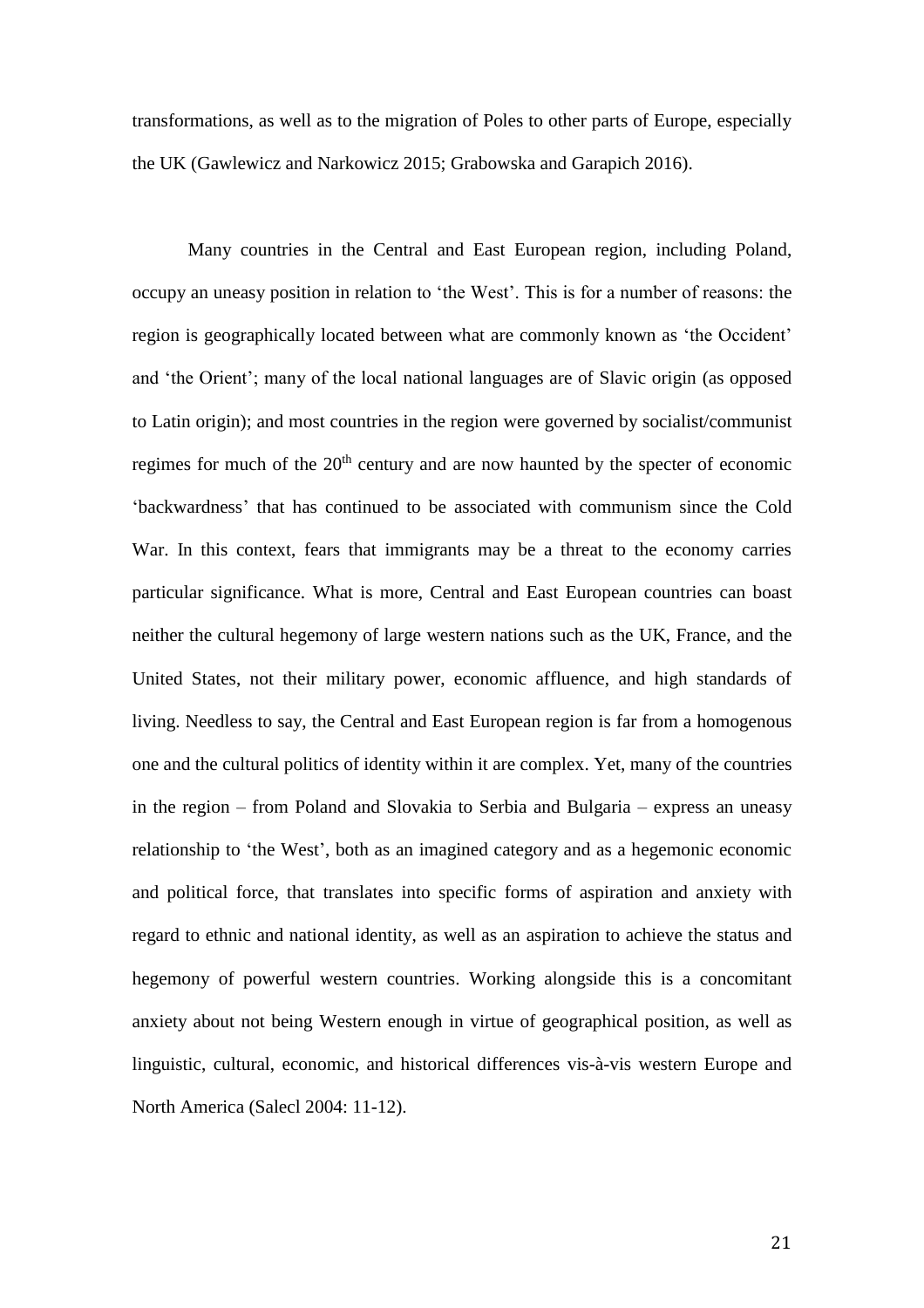transformations, as well as to the migration of Poles to other parts of Europe, especially the UK (Gawlewicz and Narkowicz 2015; Grabowska and Garapich 2016).

Many countries in the Central and East European region, including Poland, occupy an uneasy position in relation to 'the West'. This is for a number of reasons: the region is geographically located between what are commonly known as 'the Occident' and 'the Orient'; many of the local national languages are of Slavic origin (as opposed to Latin origin); and most countries in the region were governed by socialist/communist regimes for much of the 20<sup>th</sup> century and are now haunted by the specter of economic 'backwardness' that has continued to be associated with communism since the Cold War. In this context, fears that immigrants may be a threat to the economy carries particular significance. What is more, Central and East European countries can boast neither the cultural hegemony of large western nations such as the UK, France, and the United States, not their military power, economic affluence, and high standards of living. Needless to say, the Central and East European region is far from a homogenous one and the cultural politics of identity within it are complex. Yet, many of the countries in the region – from Poland and Slovakia to Serbia and Bulgaria – express an uneasy relationship to 'the West', both as an imagined category and as a hegemonic economic and political force, that translates into specific forms of aspiration and anxiety with regard to ethnic and national identity, as well as an aspiration to achieve the status and hegemony of powerful western countries. Working alongside this is a concomitant anxiety about not being Western enough in virtue of geographical position, as well as linguistic, cultural, economic, and historical differences vis-à-vis western Europe and North America (Salecl 2004: 11-12).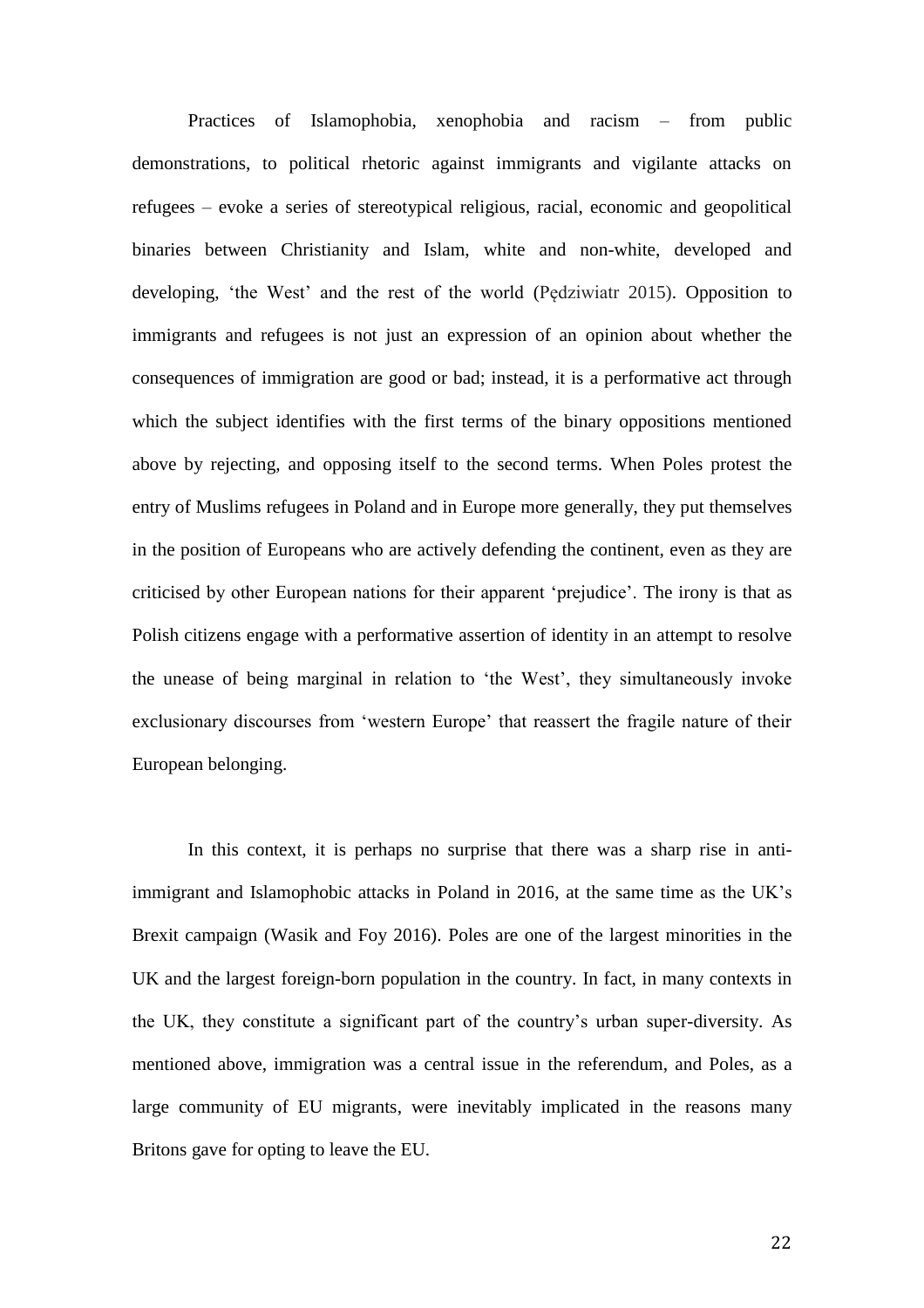Practices of Islamophobia, xenophobia and racism – from public demonstrations, to political rhetoric against immigrants and vigilante attacks on refugees – evoke a series of stereotypical religious, racial, economic and geopolitical binaries between Christianity and Islam, white and non-white, developed and developing, 'the West' and the rest of the world (Pędziwiatr 2015). Opposition to immigrants and refugees is not just an expression of an opinion about whether the consequences of immigration are good or bad; instead, it is a performative act through which the subject identifies with the first terms of the binary oppositions mentioned above by rejecting, and opposing itself to the second terms. When Poles protest the entry of Muslims refugees in Poland and in Europe more generally, they put themselves in the position of Europeans who are actively defending the continent, even as they are criticised by other European nations for their apparent 'prejudice'. The irony is that as Polish citizens engage with a performative assertion of identity in an attempt to resolve the unease of being marginal in relation to 'the West', they simultaneously invoke exclusionary discourses from 'western Europe' that reassert the fragile nature of their European belonging.

In this context, it is perhaps no surprise that there was a sharp rise in antiimmigrant and Islamophobic attacks in Poland in 2016, at the same time as the UK's Brexit campaign (Wasik and Foy 2016). Poles are one of the largest minorities in the UK and the largest foreign-born population in the country. In fact, in many contexts in the UK, they constitute a significant part of the country's urban super-diversity. As mentioned above, immigration was a central issue in the referendum, and Poles, as a large community of EU migrants, were inevitably implicated in the reasons many Britons gave for opting to leave the EU.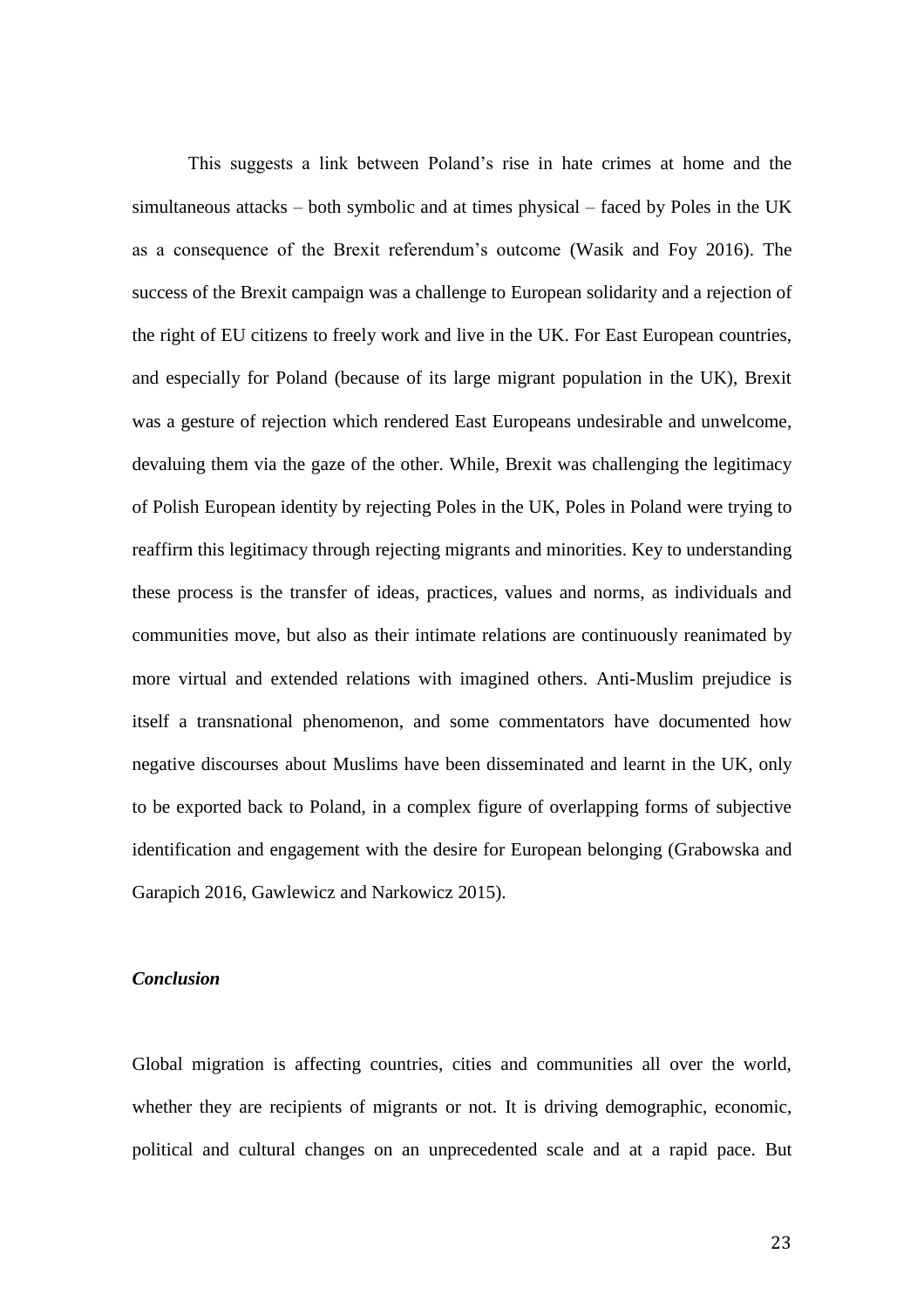This suggests a link between Poland's rise in hate crimes at home and the simultaneous attacks – both symbolic and at times physical – faced by Poles in the UK as a consequence of the Brexit referendum's outcome (Wasik and Foy 2016). The success of the Brexit campaign was a challenge to European solidarity and a rejection of the right of EU citizens to freely work and live in the UK. For East European countries, and especially for Poland (because of its large migrant population in the UK), Brexit was a gesture of rejection which rendered East Europeans undesirable and unwelcome, devaluing them via the gaze of the other. While, Brexit was challenging the legitimacy of Polish European identity by rejecting Poles in the UK, Poles in Poland were trying to reaffirm this legitimacy through rejecting migrants and minorities. Key to understanding these process is the transfer of ideas, practices, values and norms, as individuals and communities move, but also as their intimate relations are continuously reanimated by more virtual and extended relations with imagined others. Anti-Muslim prejudice is itself a transnational phenomenon, and some commentators have documented how negative discourses about Muslims have been disseminated and learnt in the UK, only to be exported back to Poland, in a complex figure of overlapping forms of subjective identification and engagement with the desire for European belonging (Grabowska and Garapich 2016, Gawlewicz and Narkowicz 2015).

## *Conclusion*

Global migration is affecting countries, cities and communities all over the world, whether they are recipients of migrants or not. It is driving demographic, economic, political and cultural changes on an unprecedented scale and at a rapid pace. But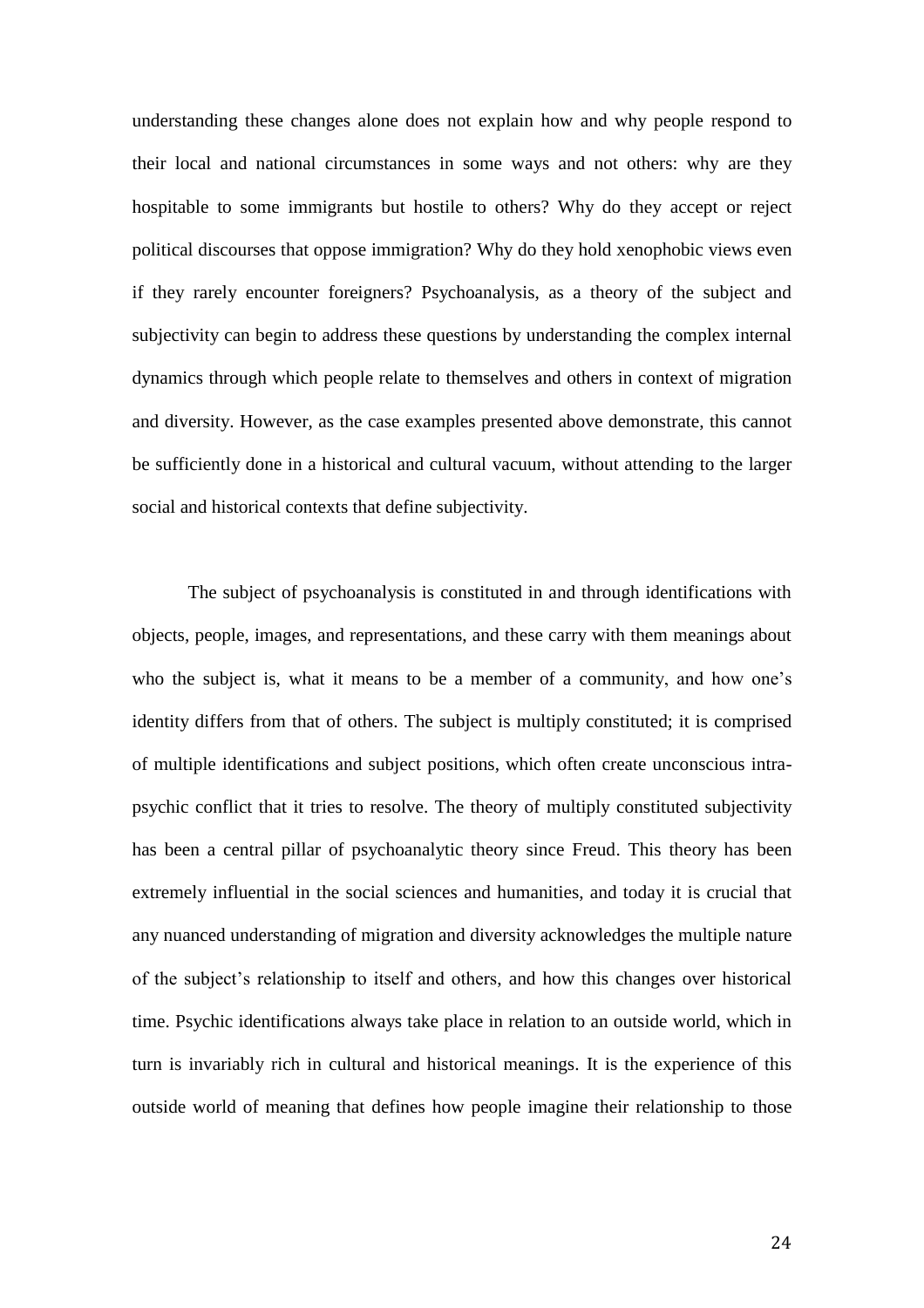understanding these changes alone does not explain how and why people respond to their local and national circumstances in some ways and not others: why are they hospitable to some immigrants but hostile to others? Why do they accept or reject political discourses that oppose immigration? Why do they hold xenophobic views even if they rarely encounter foreigners? Psychoanalysis, as a theory of the subject and subjectivity can begin to address these questions by understanding the complex internal dynamics through which people relate to themselves and others in context of migration and diversity. However, as the case examples presented above demonstrate, this cannot be sufficiently done in a historical and cultural vacuum, without attending to the larger social and historical contexts that define subjectivity.

The subject of psychoanalysis is constituted in and through identifications with objects, people, images, and representations, and these carry with them meanings about who the subject is, what it means to be a member of a community, and how one's identity differs from that of others. The subject is multiply constituted; it is comprised of multiple identifications and subject positions, which often create unconscious intrapsychic conflict that it tries to resolve. The theory of multiply constituted subjectivity has been a central pillar of psychoanalytic theory since Freud. This theory has been extremely influential in the social sciences and humanities, and today it is crucial that any nuanced understanding of migration and diversity acknowledges the multiple nature of the subject's relationship to itself and others, and how this changes over historical time. Psychic identifications always take place in relation to an outside world, which in turn is invariably rich in cultural and historical meanings. It is the experience of this outside world of meaning that defines how people imagine their relationship to those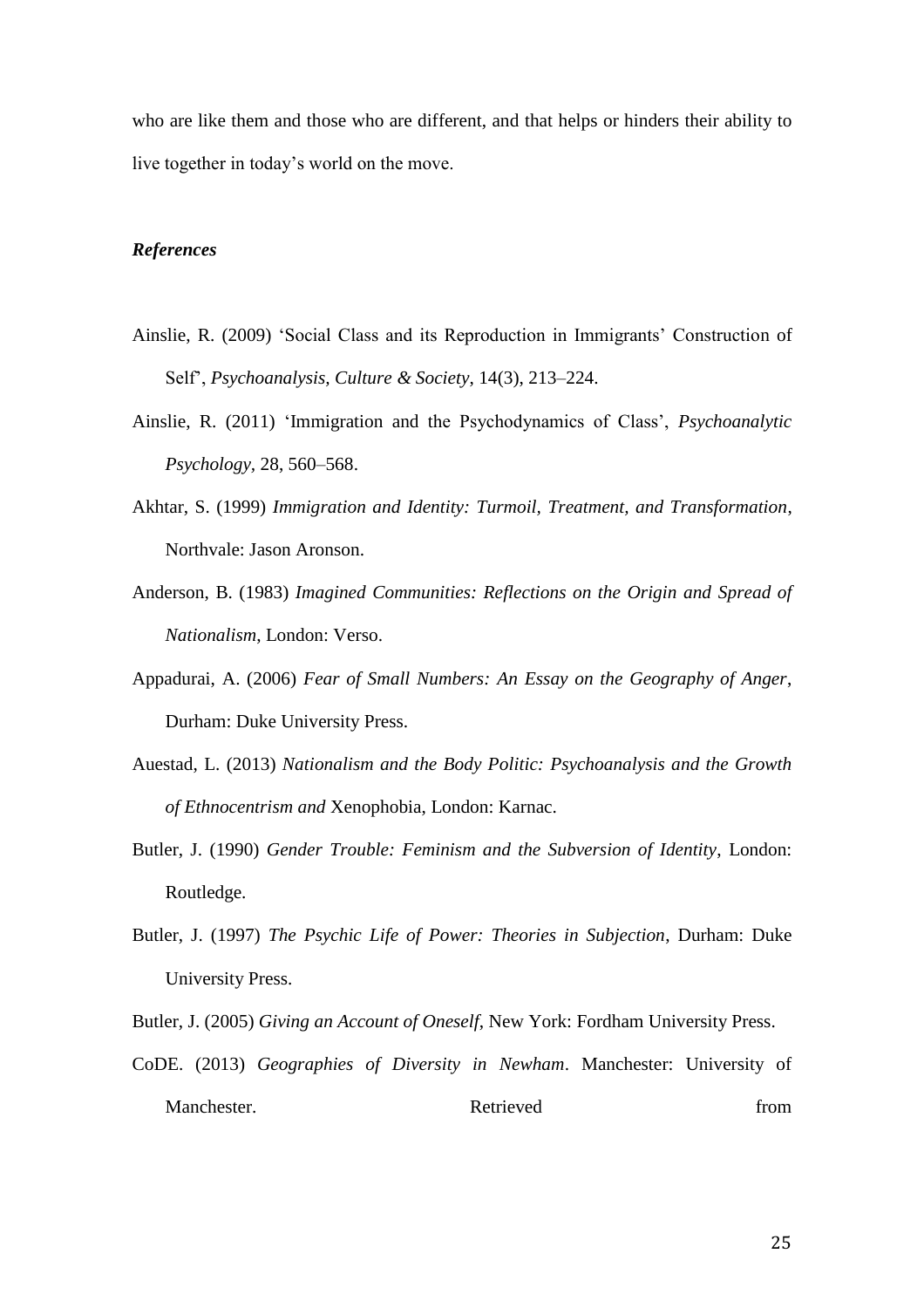who are like them and those who are different, and that helps or hinders their ability to live together in today's world on the move.

### *References*

- Ainslie, R. (2009) 'Social Class and its Reproduction in Immigrants' Construction of Self', *Psychoanalysis, Culture & Society*, 14(3), 213–224.
- Ainslie, R. (2011) 'Immigration and the Psychodynamics of Class', *Psychoanalytic Psychology,* 28, 560–568.
- Akhtar, S. (1999) *Immigration and Identity: Turmoil, Treatment, and Transformation*, Northvale: Jason Aronson.
- Anderson, B. (1983) *Imagined Communities: Reflections on the Origin and Spread of Nationalism*, London: Verso.
- Appadurai, A. (2006) *Fear of Small Numbers: An Essay on the Geography of Anger*, Durham: Duke University Press.
- Auestad, L. (2013) *Nationalism and the Body Politic: Psychoanalysis and the Growth of Ethnocentrism and* Xenophobia, London: Karnac.
- Butler, J. (1990) *Gender Trouble: Feminism and the Subversion of Identity*, London: Routledge.
- Butler, J. (1997) *The Psychic Life of Power: Theories in Subjection*, Durham: Duke University Press.
- Butler, J. (2005) *Giving an Account of Oneself*, New York: Fordham University Press.
- CoDE. (2013) *Geographies of Diversity in Newham*. Manchester: University of Manchester. The external state of the Retrieved from the from the state of the state of the Retrieved from the state of the state of the state of the state of the state of the state of the state of the state of the state o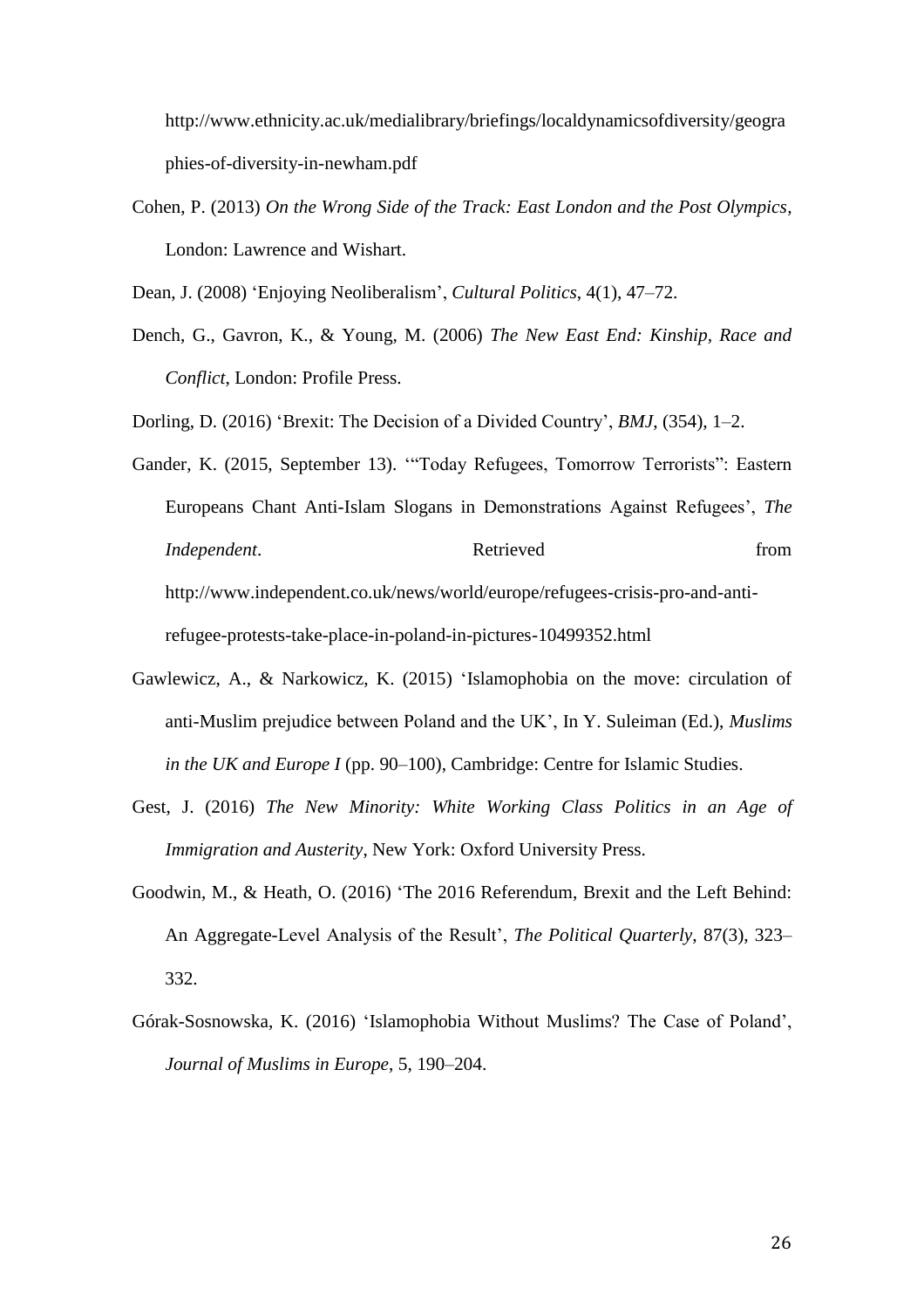http://www.ethnicity.ac.uk/medialibrary/briefings/localdynamicsofdiversity/geogra phies-of-diversity-in-newham.pdf

Cohen, P. (2013) *On the Wrong Side of the Track: East London and the Post Olympics*, London: Lawrence and Wishart.

Dean, J. (2008) 'Enjoying Neoliberalism', *Cultural Politics*, 4(1), 47–72.

- Dench, G., Gavron, K., & Young, M. (2006) *The New East End: Kinship, Race and Conflict*, London: Profile Press.
- Dorling, D. (2016) 'Brexit: The Decision of a Divided Country', *BMJ*, (354), 1–2.
- Gander, K. (2015, September 13). '"Today Refugees, Tomorrow Terrorists": Eastern Europeans Chant Anti-Islam Slogans in Demonstrations Against Refugees', *The Independent*. The **Retrieved** from http://www.independent.co.uk/news/world/europe/refugees-crisis-pro-and-antirefugee-protests-take-place-in-poland-in-pictures-10499352.html
- Gawlewicz, A., & Narkowicz, K. (2015) 'Islamophobia on the move: circulation of anti-Muslim prejudice between Poland and the UK', In Y. Suleiman (Ed.), *Muslims in the UK and Europe I* (pp. 90–100), Cambridge: Centre for Islamic Studies.
- Gest, J. (2016) *The New Minority: White Working Class Politics in an Age of Immigration and Austerity*, New York: Oxford University Press.
- Goodwin, M., & Heath, O. (2016) 'The 2016 Referendum, Brexit and the Left Behind: An Aggregate-Level Analysis of the Result', *The Political Quarterly*, 87(3), 323– 332.
- Górak-Sosnowska, K. (2016) 'Islamophobia Without Muslims? The Case of Poland', *Journal of Muslims in Europe*, 5, 190–204.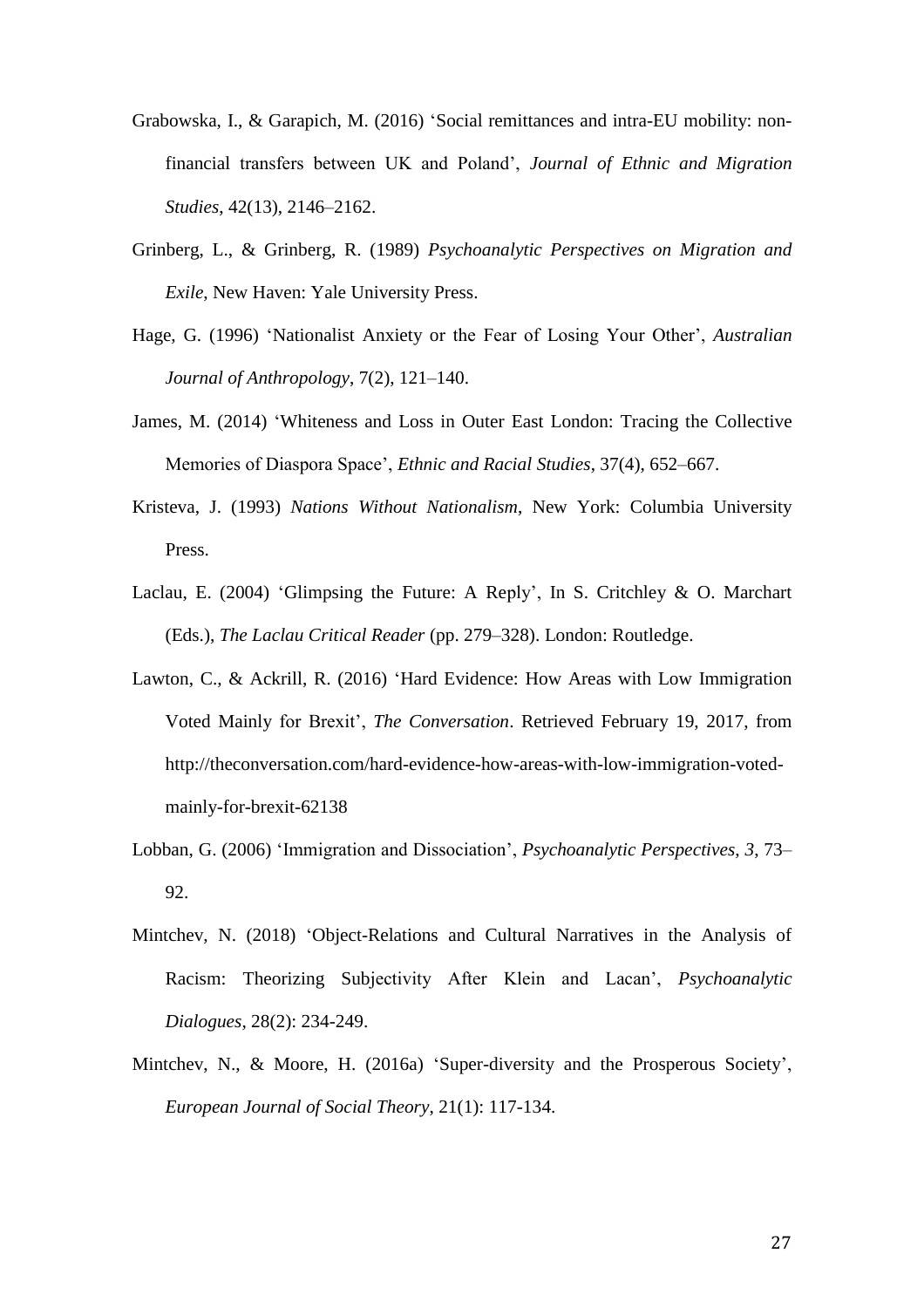- Grabowska, I., & Garapich, M. (2016) 'Social remittances and intra-EU mobility: nonfinancial transfers between UK and Poland', *Journal of Ethnic and Migration Studies*, 42(13), 2146–2162.
- Grinberg, L., & Grinberg, R. (1989) *Psychoanalytic Perspectives on Migration and Exile*, New Haven: Yale University Press.
- Hage, G. (1996) 'Nationalist Anxiety or the Fear of Losing Your Other', *Australian Journal of Anthropology*, 7(2), 121–140.
- James, M. (2014) 'Whiteness and Loss in Outer East London: Tracing the Collective Memories of Diaspora Space', *Ethnic and Racial Studies*, 37(4), 652–667.
- Kristeva, J. (1993) *Nations Without Nationalism*, New York: Columbia University Press.
- Laclau, E. (2004) 'Glimpsing the Future: A Reply', In S. Critchley & O. Marchart (Eds.), *The Laclau Critical Reader* (pp. 279–328). London: Routledge.
- Lawton, C., & Ackrill, R. (2016) 'Hard Evidence: How Areas with Low Immigration Voted Mainly for Brexit', *The Conversation*. Retrieved February 19, 2017, from http://theconversation.com/hard-evidence-how-areas-with-low-immigration-votedmainly-for-brexit-62138
- Lobban, G. (2006) 'Immigration and Dissociation', *Psychoanalytic Perspectives*, *3*, 73– 92.
- Mintchev, N. (2018) 'Object-Relations and Cultural Narratives in the Analysis of Racism: Theorizing Subjectivity After Klein and Lacan', *Psychoanalytic Dialogues*, 28(2): 234-249.
- Mintchev, N., & Moore, H. (2016a) 'Super-diversity and the Prosperous Society', *European Journal of Social Theory*, 21(1): 117-134.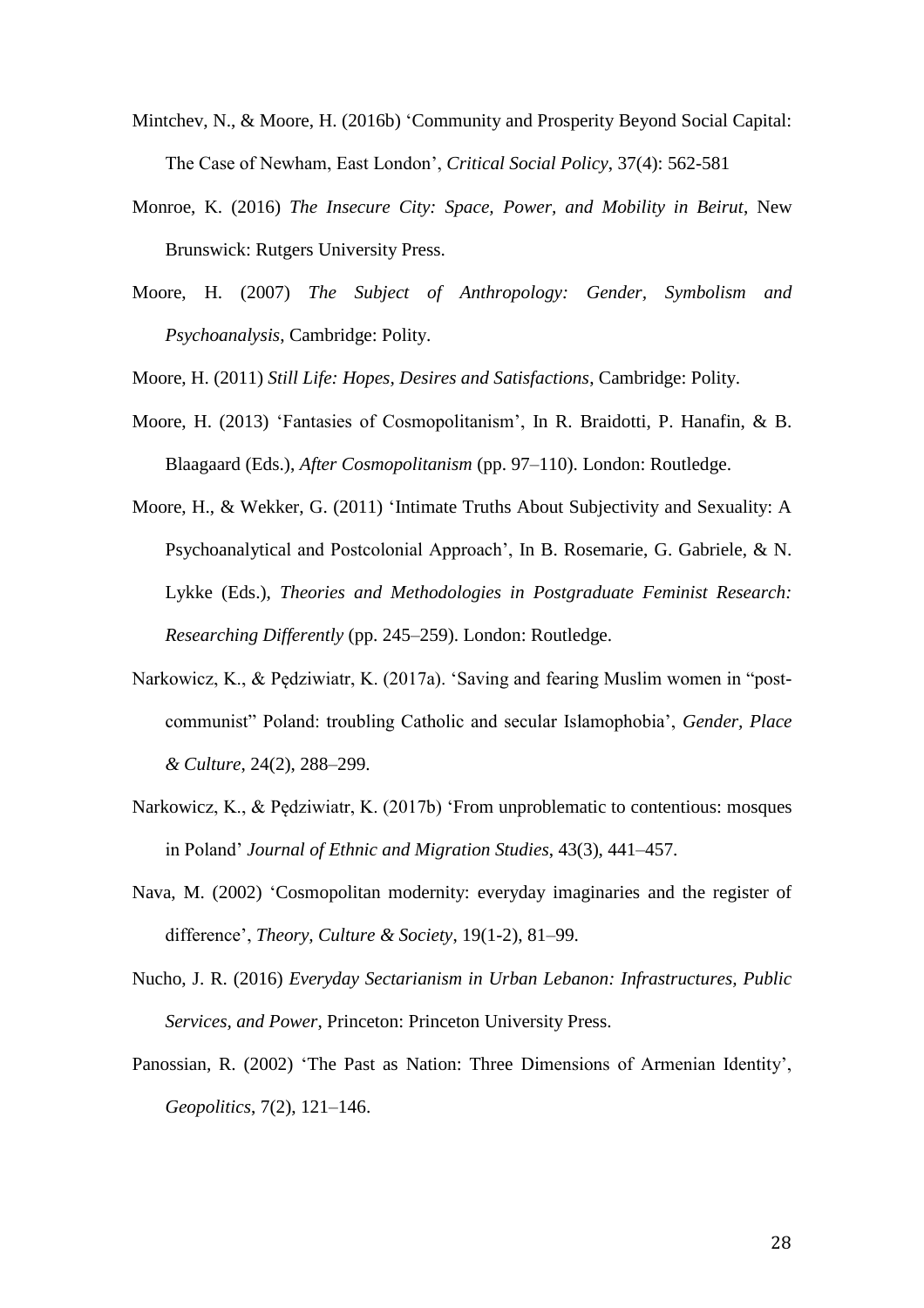- Mintchev, N., & Moore, H. (2016b) 'Community and Prosperity Beyond Social Capital: The Case of Newham, East London', *Critical Social Policy*, 37(4): 562-581
- Monroe, K. (2016) *The Insecure City: Space, Power, and Mobility in Beirut*, New Brunswick: Rutgers University Press.
- Moore, H. (2007) *The Subject of Anthropology: Gender, Symbolism and Psychoanalysis*, Cambridge: Polity.
- Moore, H. (2011) *Still Life: Hopes, Desires and Satisfactions*, Cambridge: Polity.
- Moore, H. (2013) 'Fantasies of Cosmopolitanism', In R. Braidotti, P. Hanafin, & B. Blaagaard (Eds.), *After Cosmopolitanism* (pp. 97–110). London: Routledge.
- Moore, H., & Wekker, G. (2011) 'Intimate Truths About Subjectivity and Sexuality: A Psychoanalytical and Postcolonial Approach', In B. Rosemarie, G. Gabriele, & N. Lykke (Eds.), *Theories and Methodologies in Postgraduate Feminist Research: Researching Differently* (pp. 245–259). London: Routledge.
- Narkowicz, K., & Pędziwiatr, K. (2017a). 'Saving and fearing Muslim women in "postcommunist" Poland: troubling Catholic and secular Islamophobia', *Gender, Place & Culture*, 24(2), 288–299.
- Narkowicz, K., & Pędziwiatr, K. (2017b) 'From unproblematic to contentious: mosques in Poland' *Journal of Ethnic and Migration Studies*, 43(3), 441–457.
- Nava, M. (2002) 'Cosmopolitan modernity: everyday imaginaries and the register of difference', *Theory, Culture & Society*, 19(1-2), 81–99.
- Nucho, J. R. (2016) *Everyday Sectarianism in Urban Lebanon: Infrastructures, Public Services, and Power*, Princeton: Princeton University Press.
- Panossian, R. (2002) 'The Past as Nation: Three Dimensions of Armenian Identity', *Geopolitics*, 7(2), 121–146.